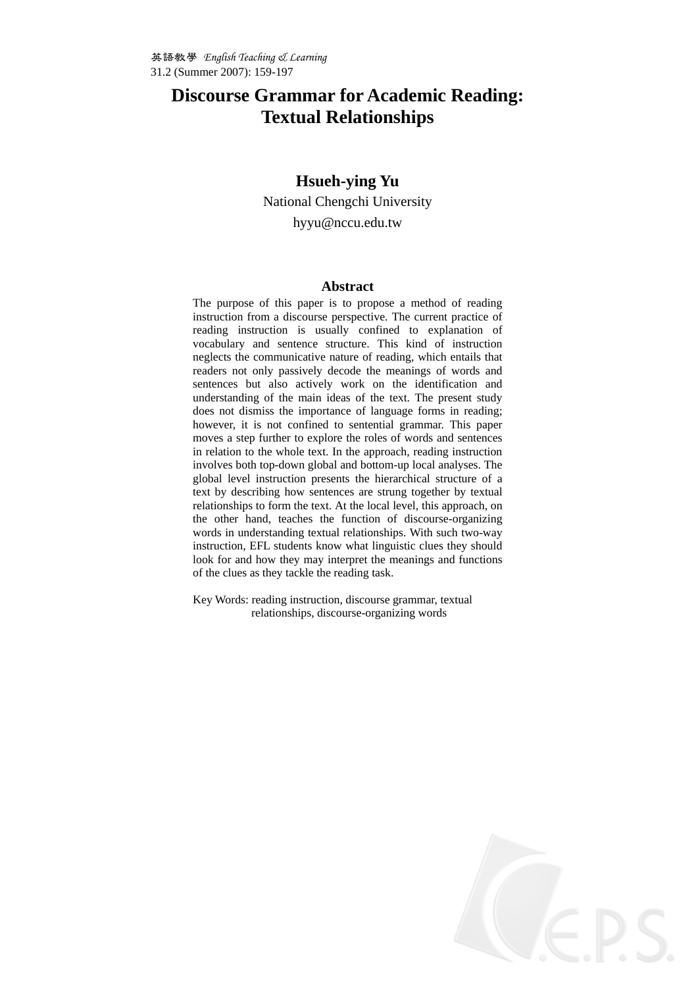# **Discourse Grammar for Academic Reading: Textual Relationships**

### **Hsueh-ying Yu**

National Chengchi University hyyu@nccu.edu.tw

#### **Abstract**

The purpose of this paper is to propose a method of reading instruction from a discourse perspective. The current practice of reading instruction is usually confined to explanation of vocabulary and sentence structure. This kind of instruction neglects the communicative nature of reading, which entails that readers not only passively decode the meanings of words and sentences but also actively work on the identification and understanding of the main ideas of the text. The present study does not dismiss the importance of language forms in reading; however, it is not confined to sentential grammar. This paper moves a step further to explore the roles of words and sentences in relation to the whole text. In the approach, reading instruction involves both top-down global and bottom-up local analyses. The global level instruction presents the hierarchical structure of a text by describing how sentences are strung together by textual relationships to form the text. At the local level, this approach, on the other hand, teaches the function of discourse-organizing words in understanding textual relationships. With such two-way instruction, EFL students know what linguistic clues they should look for and how they may interpret the meanings and functions of the clues as they tackle the reading task.

Key Words: reading instruction, discourse grammar, textual relationships, discourse-organizing words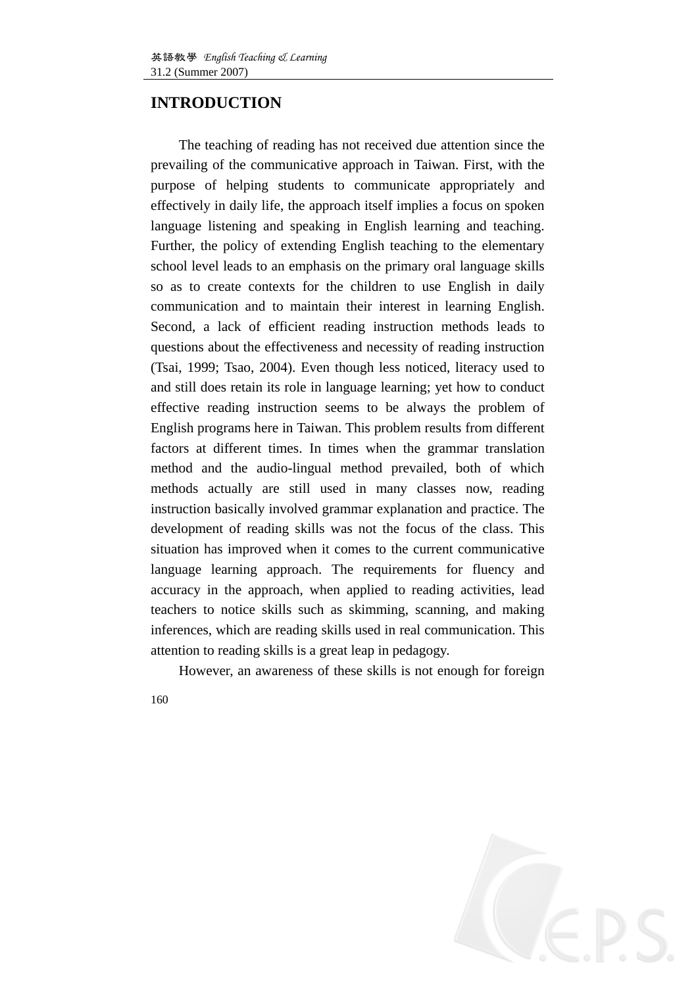## **INTRODUCTION**

The teaching of reading has not received due attention since the prevailing of the communicative approach in Taiwan. First, with the purpose of helping students to communicate appropriately and effectively in daily life, the approach itself implies a focus on spoken language listening and speaking in English learning and teaching. Further, the policy of extending English teaching to the elementary school level leads to an emphasis on the primary oral language skills so as to create contexts for the children to use English in daily communication and to maintain their interest in learning English. Second, a lack of efficient reading instruction methods leads to questions about the effectiveness and necessity of reading instruction (Tsai, 1999; Tsao, 2004). Even though less noticed, literacy used to and still does retain its role in language learning; yet how to conduct effective reading instruction seems to be always the problem of English programs here in Taiwan. This problem results from different factors at different times. In times when the grammar translation method and the audio-lingual method prevailed, both of which methods actually are still used in many classes now, reading instruction basically involved grammar explanation and practice. The development of reading skills was not the focus of the class. This situation has improved when it comes to the current communicative language learning approach. The requirements for fluency and accuracy in the approach, when applied to reading activities, lead teachers to notice skills such as skimming, scanning, and making inferences, which are reading skills used in real communication. This attention to reading skills is a great leap in pedagogy.

However, an awareness of these skills is not enough for foreign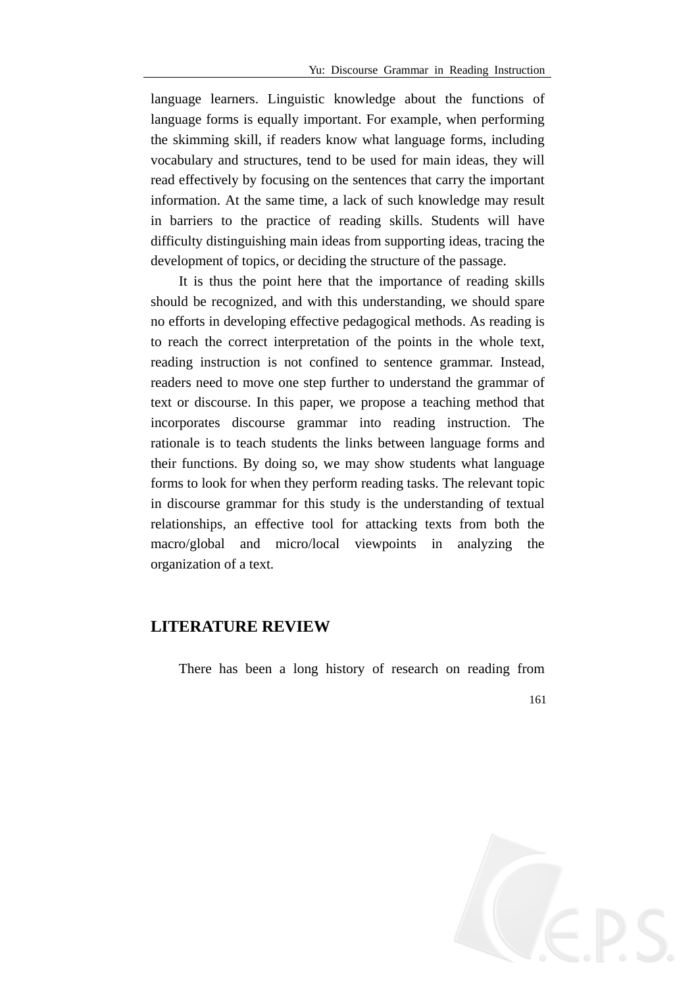language learners. Linguistic knowledge about the functions of language forms is equally important. For example, when performing the skimming skill, if readers know what language forms, including vocabulary and structures, tend to be used for main ideas, they will read effectively by focusing on the sentences that carry the important information. At the same time, a lack of such knowledge may result in barriers to the practice of reading skills. Students will have difficulty distinguishing main ideas from supporting ideas, tracing the development of topics, or deciding the structure of the passage.

It is thus the point here that the importance of reading skills should be recognized, and with this understanding, we should spare no efforts in developing effective pedagogical methods. As reading is to reach the correct interpretation of the points in the whole text, reading instruction is not confined to sentence grammar. Instead, readers need to move one step further to understand the grammar of text or discourse. In this paper, we propose a teaching method that incorporates discourse grammar into reading instruction. The rationale is to teach students the links between language forms and their functions. By doing so, we may show students what language forms to look for when they perform reading tasks. The relevant topic in discourse grammar for this study is the understanding of textual relationships, an effective tool for attacking texts from both the macro/global and micro/local viewpoints in analyzing the organization of a text.

### **LITERATURE REVIEW**

There has been a long history of research on reading from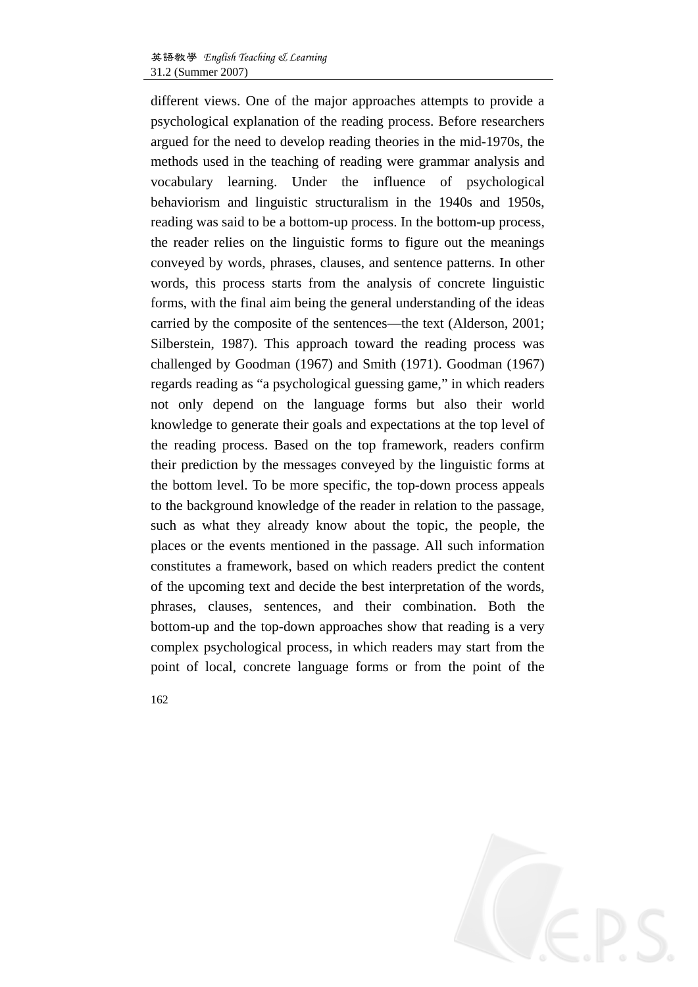different views. One of the major approaches attempts to provide a psychological explanation of the reading process. Before researchers argued for the need to develop reading theories in the mid-1970s, the methods used in the teaching of reading were grammar analysis and vocabulary learning. Under the influence of psychological behaviorism and linguistic structuralism in the 1940s and 1950s, reading was said to be a bottom-up process. In the bottom-up process, the reader relies on the linguistic forms to figure out the meanings conveyed by words, phrases, clauses, and sentence patterns. In other words, this process starts from the analysis of concrete linguistic forms, with the final aim being the general understanding of the ideas carried by the composite of the sentences—the text (Alderson, 2001; Silberstein, 1987). This approach toward the reading process was challenged by Goodman (1967) and Smith (1971). Goodman (1967) regards reading as "a psychological guessing game," in which readers not only depend on the language forms but also their world knowledge to generate their goals and expectations at the top level of the reading process. Based on the top framework, readers confirm their prediction by the messages conveyed by the linguistic forms at the bottom level. To be more specific, the top-down process appeals to the background knowledge of the reader in relation to the passage, such as what they already know about the topic, the people, the places or the events mentioned in the passage. All such information constitutes a framework, based on which readers predict the content of the upcoming text and decide the best interpretation of the words, phrases, clauses, sentences, and their combination. Both the bottom-up and the top-down approaches show that reading is a very complex psychological process, in which readers may start from the point of local, concrete language forms or from the point of the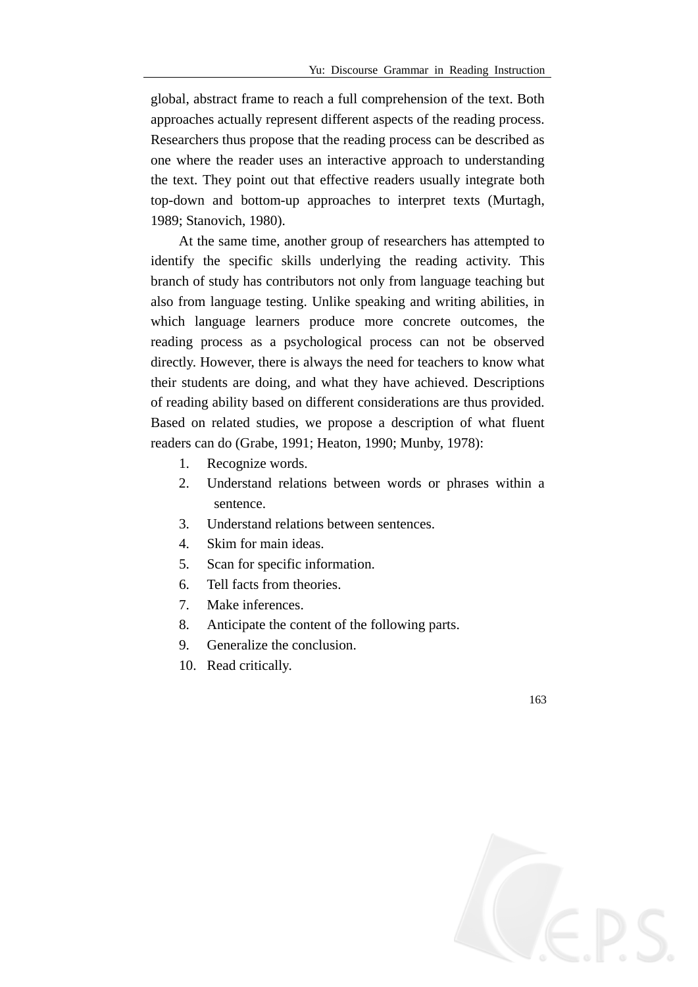global, abstract frame to reach a full comprehension of the text. Both approaches actually represent different aspects of the reading process. Researchers thus propose that the reading process can be described as one where the reader uses an interactive approach to understanding the text. They point out that effective readers usually integrate both top-down and bottom-up approaches to interpret texts (Murtagh, 1989; Stanovich, 1980).

At the same time, another group of researchers has attempted to identify the specific skills underlying the reading activity. This branch of study has contributors not only from language teaching but also from language testing. Unlike speaking and writing abilities, in which language learners produce more concrete outcomes, the reading process as a psychological process can not be observed directly. However, there is always the need for teachers to know what their students are doing, and what they have achieved. Descriptions of reading ability based on different considerations are thus provided. Based on related studies, we propose a description of what fluent readers can do (Grabe, 1991; Heaton, 1990; Munby, 1978):

- 1. Recognize words.
- 2. Understand relations between words or phrases within a sentence.
- 3. Understand relations between sentences.
- 4. Skim for main ideas.
- 5. Scan for specific information.
- 6. Tell facts from theories.
- 7. Make inferences.
- 8. Anticipate the content of the following parts.
- 9. Generalize the conclusion.
- 10. Read critically.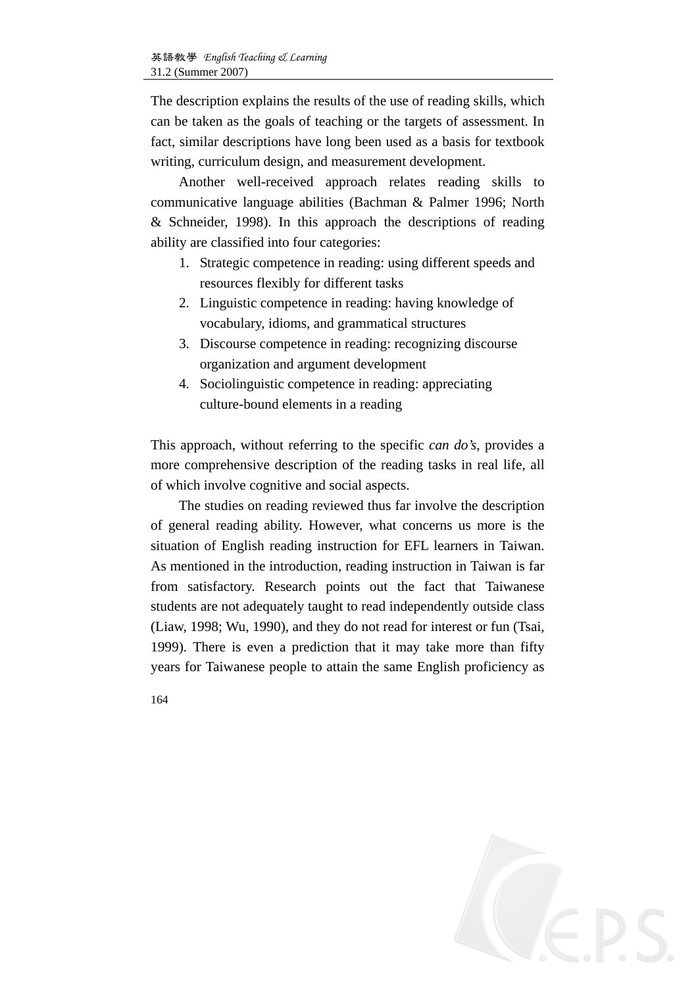The description explains the results of the use of reading skills, which can be taken as the goals of teaching or the targets of assessment. In fact, similar descriptions have long been used as a basis for textbook writing, curriculum design, and measurement development.

Another well-received approach relates reading skills to communicative language abilities (Bachman & Palmer 1996; North & Schneider, 1998). In this approach the descriptions of reading ability are classified into four categories:

- 1. Strategic competence in reading: using different speeds and resources flexibly for different tasks
- 2. Linguistic competence in reading: having knowledge of vocabulary, idioms, and grammatical structures
- 3. Discourse competence in reading: recognizing discourse organization and argument development
- 4. Sociolinguistic competence in reading: appreciating culture-bound elements in a reading

This approach, without referring to the specific *can do's*, provides a more comprehensive description of the reading tasks in real life, all of which involve cognitive and social aspects.

The studies on reading reviewed thus far involve the description of general reading ability. However, what concerns us more is the situation of English reading instruction for EFL learners in Taiwan. As mentioned in the introduction, reading instruction in Taiwan is far from satisfactory. Research points out the fact that Taiwanese students are not adequately taught to read independently outside class (Liaw, 1998; Wu, 1990), and they do not read for interest or fun (Tsai, 1999). There is even a prediction that it may take more than fifty years for Taiwanese people to attain the same English proficiency as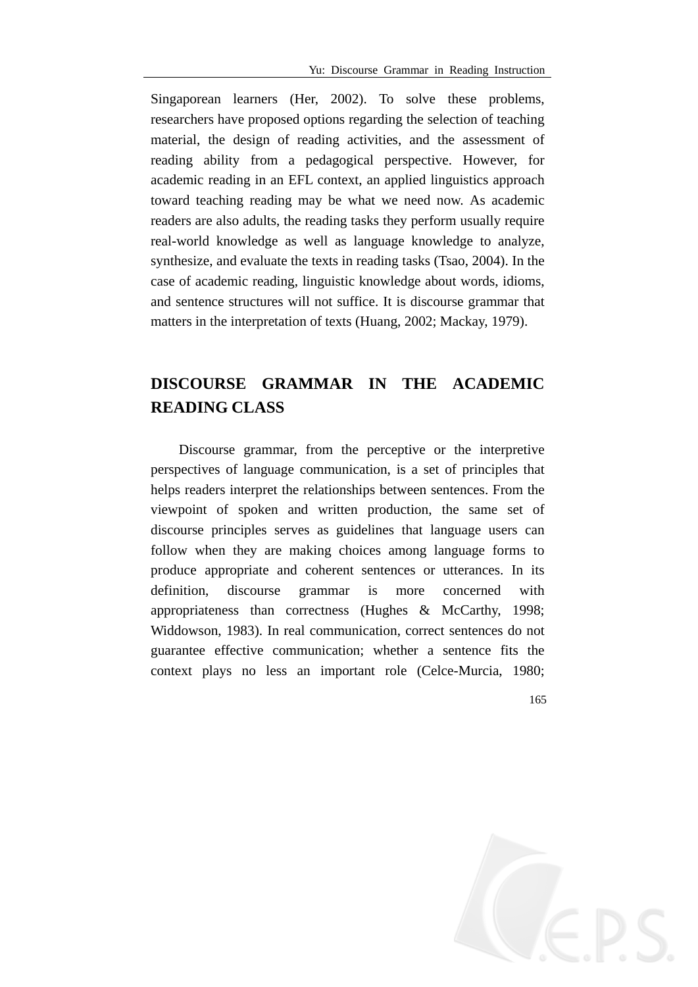Singaporean learners (Her, 2002). To solve these problems, researchers have proposed options regarding the selection of teaching material, the design of reading activities, and the assessment of reading ability from a pedagogical perspective. However, for academic reading in an EFL context, an applied linguistics approach toward teaching reading may be what we need now. As academic readers are also adults, the reading tasks they perform usually require real-world knowledge as well as language knowledge to analyze, synthesize, and evaluate the texts in reading tasks (Tsao, 2004). In the case of academic reading, linguistic knowledge about words, idioms, and sentence structures will not suffice. It is discourse grammar that matters in the interpretation of texts (Huang, 2002; Mackay, 1979).

# **DISCOURSE GRAMMAR IN THE ACADEMIC READING CLASS**

Discourse grammar, from the perceptive or the interpretive perspectives of language communication, is a set of principles that helps readers interpret the relationships between sentences. From the viewpoint of spoken and written production, the same set of discourse principles serves as guidelines that language users can follow when they are making choices among language forms to produce appropriate and coherent sentences or utterances. In its definition, discourse grammar is more concerned with appropriateness than correctness (Hughes & McCarthy, 1998; Widdowson, 1983). In real communication, correct sentences do not guarantee effective communication; whether a sentence fits the context plays no less an important role (Celce-Murcia, 1980;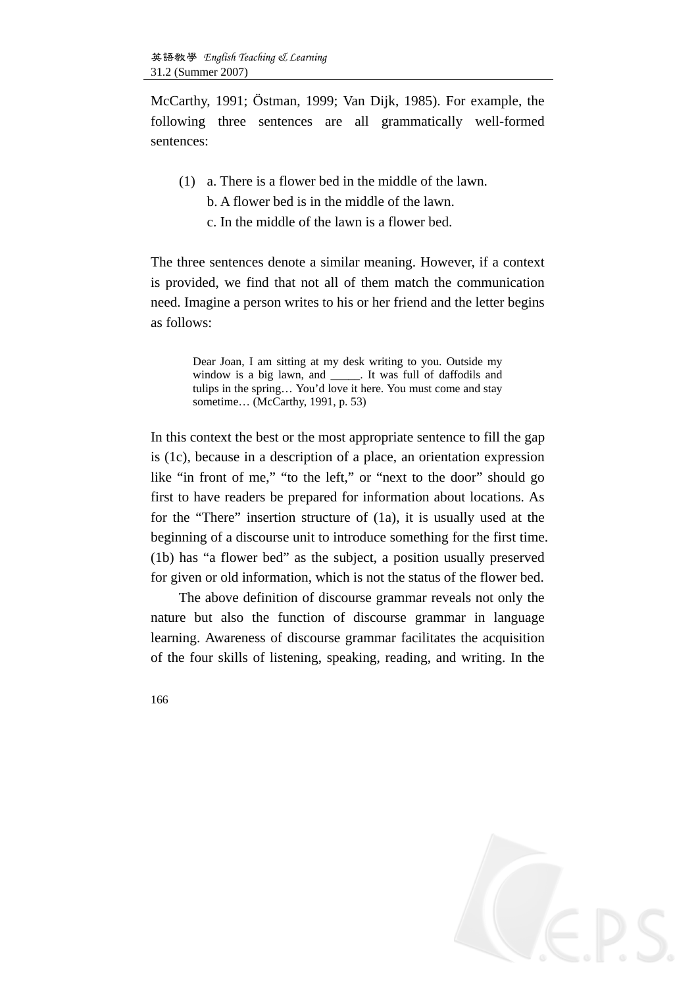McCarthy, 1991; Östman, 1999; Van Dijk, 1985). For example, the following three sentences are all grammatically well-formed sentences:

- (1) a. There is a flower bed in the middle of the lawn.
	- b. A flower bed is in the middle of the lawn.
	- c. In the middle of the lawn is a flower bed.

The three sentences denote a similar meaning. However, if a context is provided, we find that not all of them match the communication need. Imagine a person writes to his or her friend and the letter begins as follows:

> Dear Joan, I am sitting at my desk writing to you. Outside my window is a big lawn, and \_\_\_\_\_. It was full of daffodils and tulips in the spring… You'd love it here. You must come and stay sometime… (McCarthy, 1991, p. 53)

In this context the best or the most appropriate sentence to fill the gap is (1c), because in a description of a place, an orientation expression like "in front of me," "to the left," or "next to the door" should go first to have readers be prepared for information about locations. As for the "There" insertion structure of (1a), it is usually used at the beginning of a discourse unit to introduce something for the first time. (1b) has "a flower bed" as the subject, a position usually preserved for given or old information, which is not the status of the flower bed.

The above definition of discourse grammar reveals not only the nature but also the function of discourse grammar in language learning. Awareness of discourse grammar facilitates the acquisition of the four skills of listening, speaking, reading, and writing. In the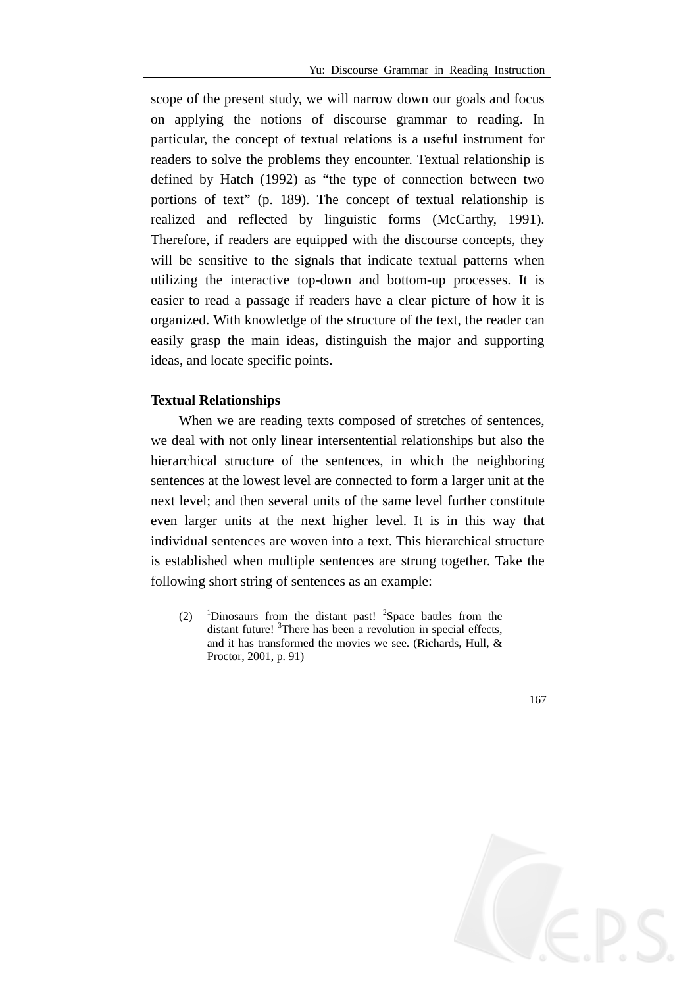scope of the present study, we will narrow down our goals and focus on applying the notions of discourse grammar to reading. In particular, the concept of textual relations is a useful instrument for readers to solve the problems they encounter. Textual relationship is defined by Hatch (1992) as "the type of connection between two portions of text" (p. 189). The concept of textual relationship is realized and reflected by linguistic forms (McCarthy, 1991). Therefore, if readers are equipped with the discourse concepts, they will be sensitive to the signals that indicate textual patterns when utilizing the interactive top-down and bottom-up processes. It is easier to read a passage if readers have a clear picture of how it is organized. With knowledge of the structure of the text, the reader can easily grasp the main ideas, distinguish the major and supporting ideas, and locate specific points.

#### **Textual Relationships**

When we are reading texts composed of stretches of sentences, we deal with not only linear intersentential relationships but also the hierarchical structure of the sentences, in which the neighboring sentences at the lowest level are connected to form a larger unit at the next level; and then several units of the same level further constitute even larger units at the next higher level. It is in this way that individual sentences are woven into a text. This hierarchical structure is established when multiple sentences are strung together. Take the following short string of sentences as an example:

 $(2)$ Dinosaurs from the distant past!  $2$ Space battles from the distant future! <sup>3</sup>There has been a revolution in special effects, and it has transformed the movies we see. (Richards, Hull, & Proctor, 2001, p. 91)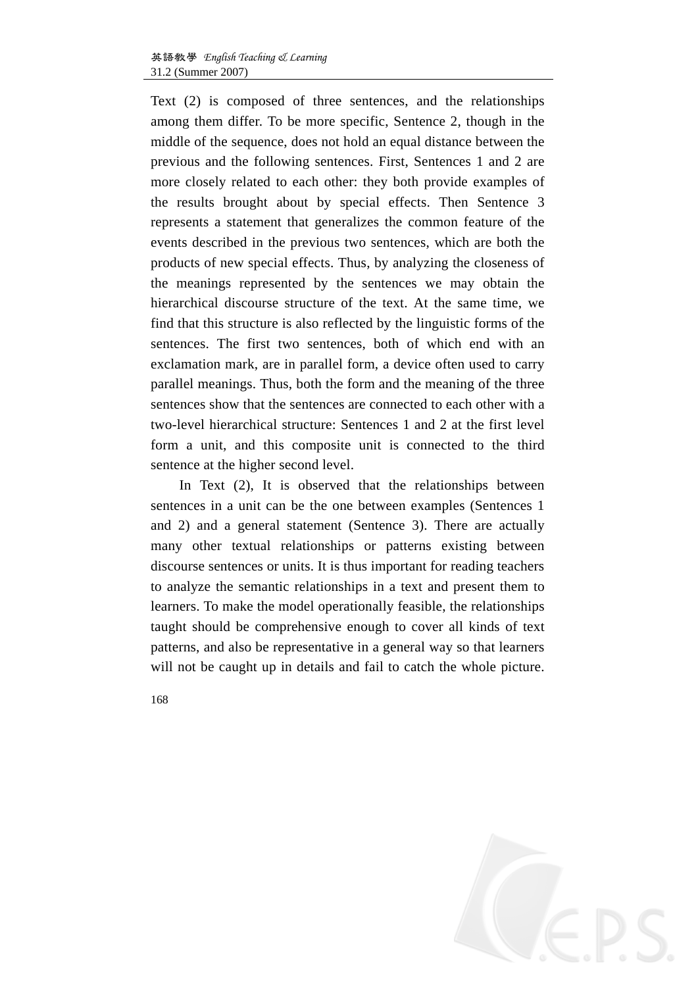Text (2) is composed of three sentences, and the relationships among them differ. To be more specific, Sentence 2, though in the middle of the sequence, does not hold an equal distance between the previous and the following sentences. First, Sentences 1 and 2 are more closely related to each other: they both provide examples of the results brought about by special effects. Then Sentence 3 represents a statement that generalizes the common feature of the events described in the previous two sentences, which are both the products of new special effects. Thus, by analyzing the closeness of the meanings represented by the sentences we may obtain the hierarchical discourse structure of the text. At the same time, we find that this structure is also reflected by the linguistic forms of the sentences. The first two sentences, both of which end with an exclamation mark, are in parallel form, a device often used to carry parallel meanings. Thus, both the form and the meaning of the three sentences show that the sentences are connected to each other with a two-level hierarchical structure: Sentences 1 and 2 at the first level form a unit, and this composite unit is connected to the third sentence at the higher second level.

In Text (2), It is observed that the relationships between sentences in a unit can be the one between examples (Sentences 1 and 2) and a general statement (Sentence 3). There are actually many other textual relationships or patterns existing between discourse sentences or units. It is thus important for reading teachers to analyze the semantic relationships in a text and present them to learners. To make the model operationally feasible, the relationships taught should be comprehensive enough to cover all kinds of text patterns, and also be representative in a general way so that learners will not be caught up in details and fail to catch the whole picture.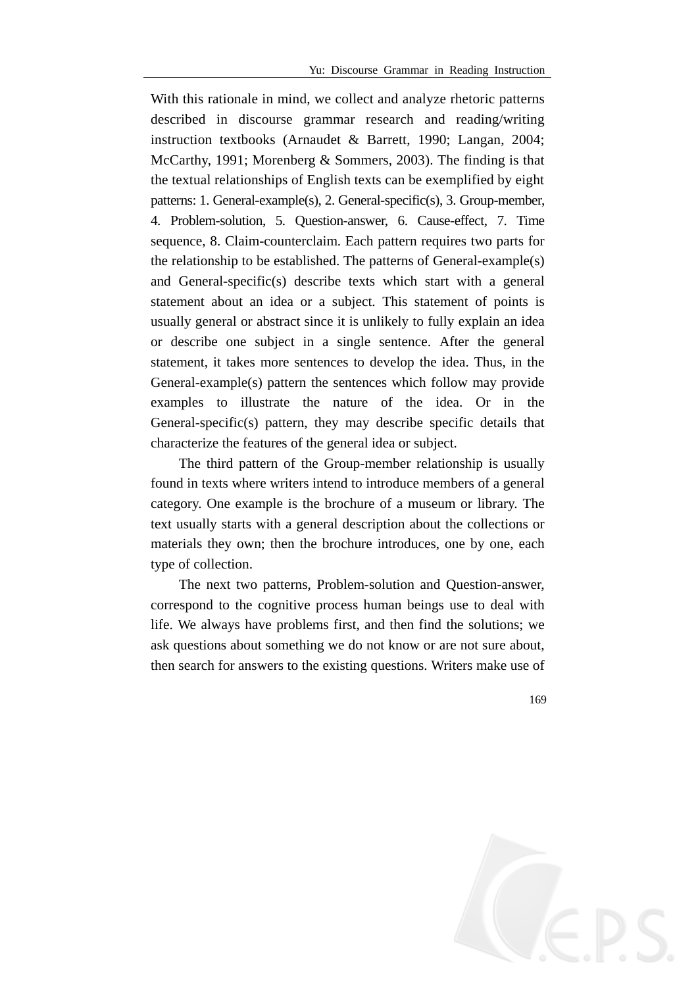With this rationale in mind, we collect and analyze rhetoric patterns described in discourse grammar research and reading/writing instruction textbooks (Arnaudet & Barrett, 1990; Langan, 2004; McCarthy, 1991; Morenberg & Sommers, 2003). The finding is that the textual relationships of English texts can be exemplified by eight patterns: 1. General-example(s), 2. General-specific(s), 3. Group-member, 4. Problem-solution, 5. Question-answer, 6. Cause-effect, 7. Time sequence, 8. Claim-counterclaim. Each pattern requires two parts for the relationship to be established. The patterns of General-example(s) and General-specific(s) describe texts which start with a general statement about an idea or a subject. This statement of points is usually general or abstract since it is unlikely to fully explain an idea or describe one subject in a single sentence. After the general statement, it takes more sentences to develop the idea. Thus, in the General-example(s) pattern the sentences which follow may provide examples to illustrate the nature of the idea. Or in the General-specific(s) pattern, they may describe specific details that characterize the features of the general idea or subject.

The third pattern of the Group-member relationship is usually found in texts where writers intend to introduce members of a general category. One example is the brochure of a museum or library. The text usually starts with a general description about the collections or materials they own; then the brochure introduces, one by one, each type of collection.

The next two patterns, Problem-solution and Question-answer, correspond to the cognitive process human beings use to deal with life. We always have problems first, and then find the solutions; we ask questions about something we do not know or are not sure about, then search for answers to the existing questions. Writers make use of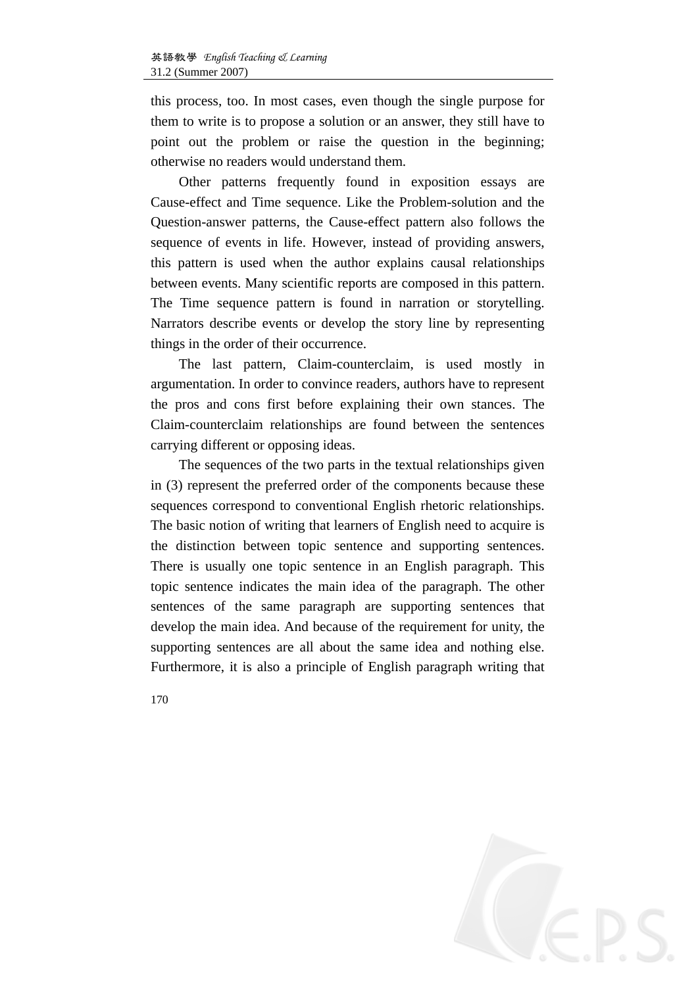this process, too. In most cases, even though the single purpose for them to write is to propose a solution or an answer, they still have to point out the problem or raise the question in the beginning; otherwise no readers would understand them.

Other patterns frequently found in exposition essays are Cause-effect and Time sequence. Like the Problem-solution and the Question-answer patterns, the Cause-effect pattern also follows the sequence of events in life. However, instead of providing answers, this pattern is used when the author explains causal relationships between events. Many scientific reports are composed in this pattern. The Time sequence pattern is found in narration or storytelling. Narrators describe events or develop the story line by representing things in the order of their occurrence.

The last pattern, Claim-counterclaim, is used mostly in argumentation. In order to convince readers, authors have to represent the pros and cons first before explaining their own stances. The Claim-counterclaim relationships are found between the sentences carrying different or opposing ideas.

The sequences of the two parts in the textual relationships given in (3) represent the preferred order of the components because these sequences correspond to conventional English rhetoric relationships. The basic notion of writing that learners of English need to acquire is the distinction between topic sentence and supporting sentences. There is usually one topic sentence in an English paragraph. This topic sentence indicates the main idea of the paragraph. The other sentences of the same paragraph are supporting sentences that develop the main idea. And because of the requirement for unity, the supporting sentences are all about the same idea and nothing else. Furthermore, it is also a principle of English paragraph writing that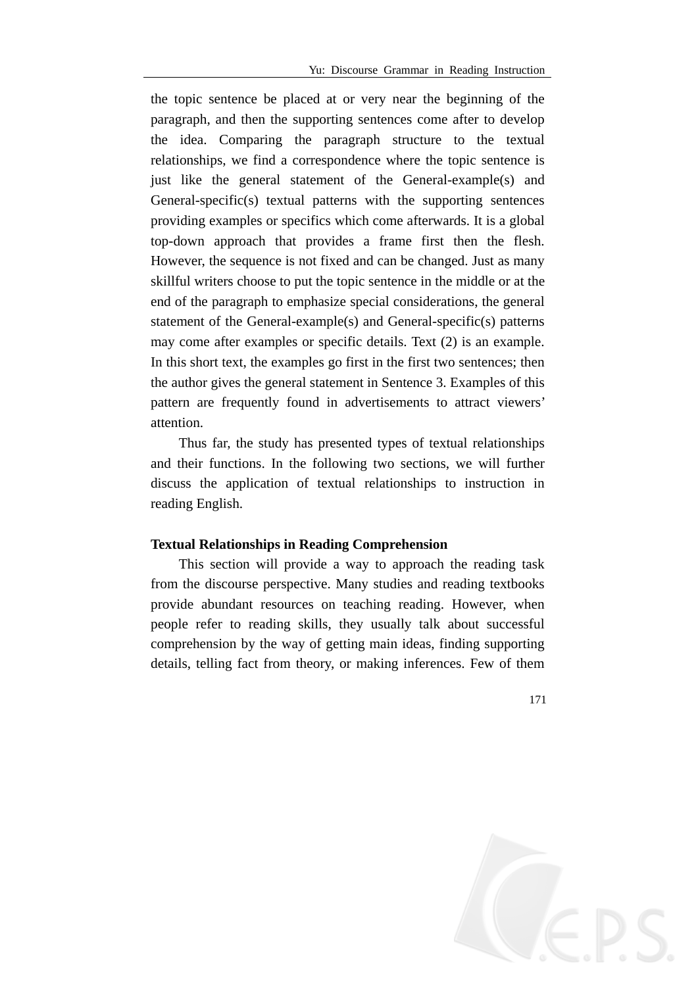the topic sentence be placed at or very near the beginning of the paragraph, and then the supporting sentences come after to develop the idea. Comparing the paragraph structure to the textual relationships, we find a correspondence where the topic sentence is just like the general statement of the General-example(s) and General-specific(s) textual patterns with the supporting sentences providing examples or specifics which come afterwards. It is a global top-down approach that provides a frame first then the flesh. However, the sequence is not fixed and can be changed. Just as many skillful writers choose to put the topic sentence in the middle or at the end of the paragraph to emphasize special considerations, the general statement of the General-example(s) and General-specific(s) patterns may come after examples or specific details. Text (2) is an example. In this short text, the examples go first in the first two sentences; then the author gives the general statement in Sentence 3. Examples of this pattern are frequently found in advertisements to attract viewers' attention.

Thus far, the study has presented types of textual relationships and their functions. In the following two sections, we will further discuss the application of textual relationships to instruction in reading English.

### **Textual Relationships in Reading Comprehension**

This section will provide a way to approach the reading task from the discourse perspective. Many studies and reading textbooks provide abundant resources on teaching reading. However, when people refer to reading skills, they usually talk about successful comprehension by the way of getting main ideas, finding supporting details, telling fact from theory, or making inferences. Few of them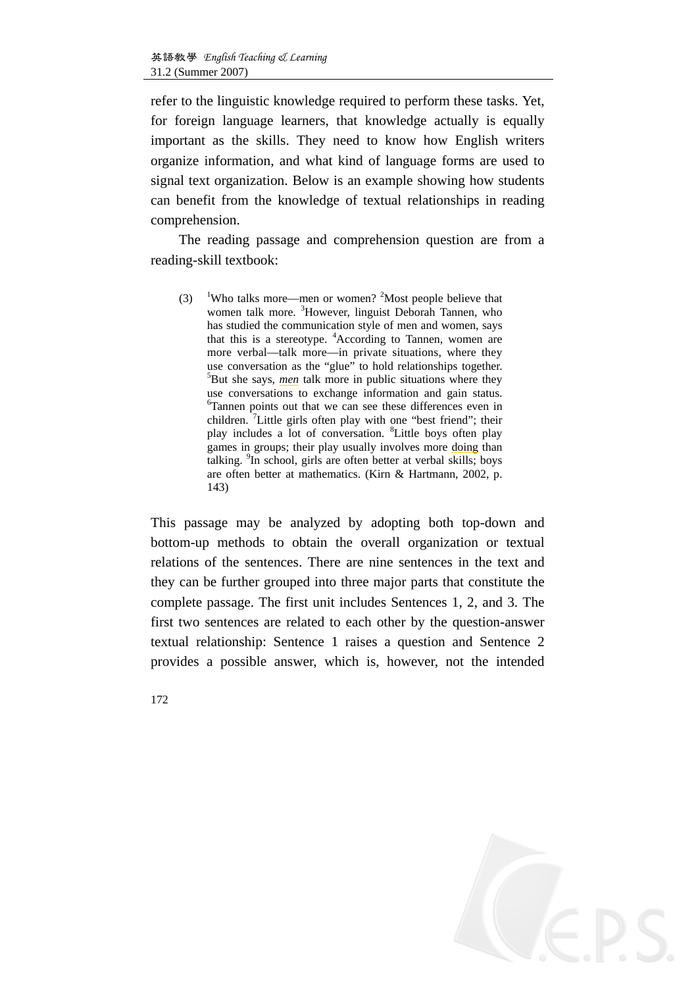refer to the linguistic knowledge required to perform these tasks. Yet, for foreign language learners, that knowledge actually is equally important as the skills. They need to know how English writers organize information, and what kind of language forms are used to signal text organization. Below is an example showing how students can benefit from the knowledge of textual relationships in reading comprehension.

The reading passage and comprehension question are from a reading-skill textbook:

 $(3)$ Who talks more—men or women?  $2^2$ Most people believe that women talk more. <sup>3</sup>However, linguist Deborah Tannen, who has studied the communication style of men and women, says that this is a stereotype. <sup>4</sup>According to Tannen, women are more verbal—talk more—in private situations, where they use conversation as the "glue" to hold relationships together. 5 But she says, *men* talk more in public situations where they use conversations to exchange information and gain status. 6 Tannen points out that we can see these differences even in children.  $\left[7\right]$ Little girls often play with one "best friend"; their play includes a lot of conversation. <sup>8</sup>Little boys often play games in groups; their play usually involves more doing than talking. <sup>9</sup> In school, girls are often better at verbal skills; boys are often better at mathematics. (Kirn & Hartmann, 2002, p. 143)

This passage may be analyzed by adopting both top-down and bottom-up methods to obtain the overall organization or textual relations of the sentences. There are nine sentences in the text and they can be further grouped into three major parts that constitute the complete passage. The first unit includes Sentences 1, 2, and 3. The first two sentences are related to each other by the question-answer textual relationship: Sentence 1 raises a question and Sentence 2 provides a possible answer, which is, however, not the intended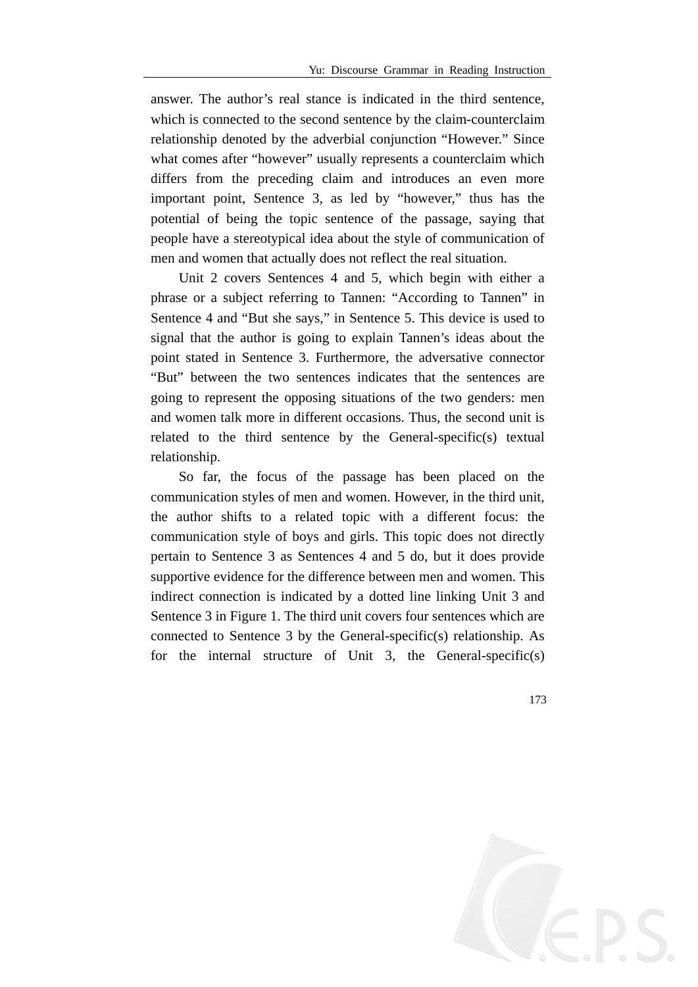answer. The author's real stance is indicated in the third sentence, which is connected to the second sentence by the claim-counterclaim relationship denoted by the adverbial conjunction "However." Since what comes after "however" usually represents a counterclaim which differs from the preceding claim and introduces an even more important point, Sentence 3, as led by "however," thus has the potential of being the topic sentence of the passage, saying that people have a stereotypical idea about the style of communication of men and women that actually does not reflect the real situation.

Unit 2 covers Sentences 4 and 5, which begin with either a phrase or a subject referring to Tannen: "According to Tannen" in Sentence 4 and "But she says," in Sentence 5. This device is used to signal that the author is going to explain Tannen's ideas about the point stated in Sentence 3. Furthermore, the adversative connector "But" between the two sentences indicates that the sentences are going to represent the opposing situations of the two genders: men and women talk more in different occasions. Thus, the second unit is related to the third sentence by the General-specific(s) textual relationship.

So far, the focus of the passage has been placed on the communication styles of men and women. However, in the third unit, the author shifts to a related topic with a different focus: the communication style of boys and girls. This topic does not directly pertain to Sentence 3 as Sentences 4 and 5 do, but it does provide supportive evidence for the difference between men and women. This indirect connection is indicated by a dotted line linking Unit 3 and Sentence 3 in Figure 1. The third unit covers four sentences which are connected to Sentence 3 by the General-specific(s) relationship. As for the internal structure of Unit 3, the General-specific(s)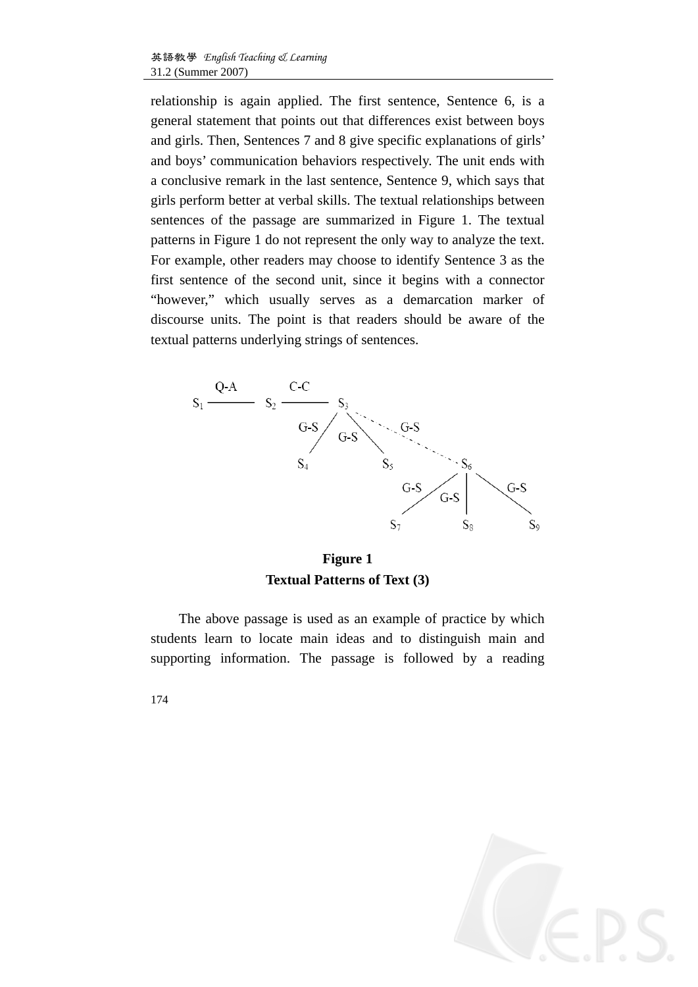relationship is again applied. The first sentence, Sentence 6, is a general statement that points out that differences exist between boys and girls. Then, Sentences 7 and 8 give specific explanations of girls' and boys' communication behaviors respectively. The unit ends with a conclusive remark in the last sentence, Sentence 9, which says that girls perform better at verbal skills. The textual relationships between sentences of the passage are summarized in Figure 1. The textual patterns in Figure 1 do not represent the only way to analyze the text. For example, other readers may choose to identify Sentence 3 as the first sentence of the second unit, since it begins with a connector "however," which usually serves as a demarcation marker of discourse units. The point is that readers should be aware of the textual patterns underlying strings of sentences.



**Figure 1 Textual Patterns of Text (3)** 

The above passage is used as an example of practice by which students learn to locate main ideas and to distinguish main and supporting information. The passage is followed by a reading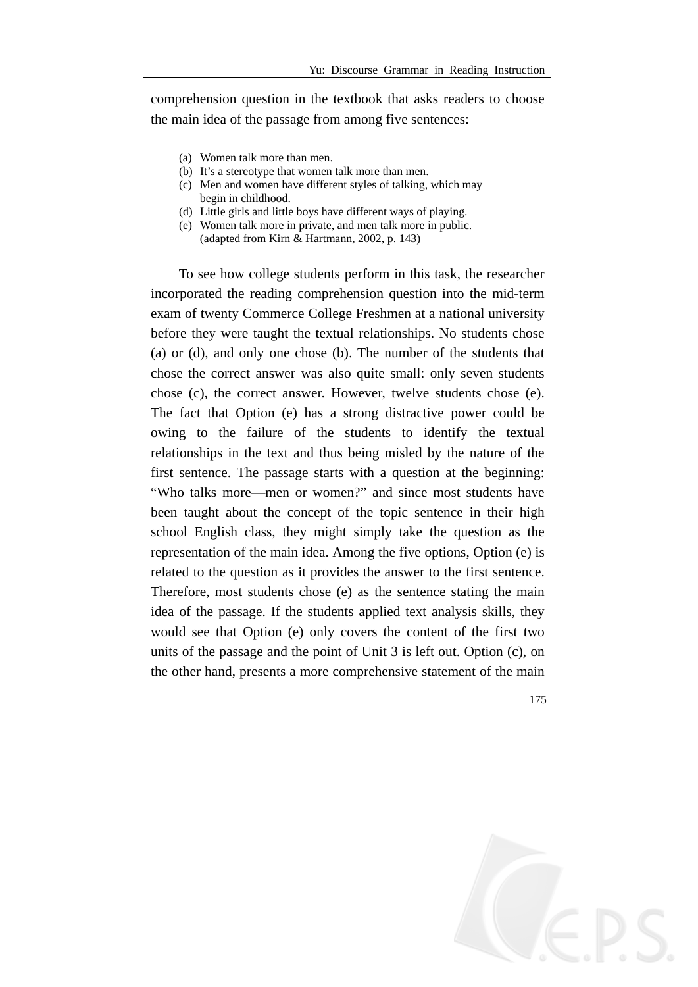comprehension question in the textbook that asks readers to choose the main idea of the passage from among five sentences:

- (a) Women talk more than men.
- (b) It's a stereotype that women talk more than men.
- (c) Men and women have different styles of talking, which may begin in childhood.
- (d) Little girls and little boys have different ways of playing.
- (e) Women talk more in private, and men talk more in public. (adapted from Kirn & Hartmann, 2002, p. 143)

To see how college students perform in this task, the researcher incorporated the reading comprehension question into the mid-term exam of twenty Commerce College Freshmen at a national university before they were taught the textual relationships. No students chose (a) or (d), and only one chose (b). The number of the students that chose the correct answer was also quite small: only seven students chose (c), the correct answer. However, twelve students chose (e). The fact that Option (e) has a strong distractive power could be owing to the failure of the students to identify the textual relationships in the text and thus being misled by the nature of the first sentence. The passage starts with a question at the beginning: "Who talks more—men or women?" and since most students have been taught about the concept of the topic sentence in their high school English class, they might simply take the question as the representation of the main idea. Among the five options, Option (e) is related to the question as it provides the answer to the first sentence. Therefore, most students chose (e) as the sentence stating the main idea of the passage. If the students applied text analysis skills, they would see that Option (e) only covers the content of the first two units of the passage and the point of Unit 3 is left out. Option (c), on the other hand, presents a more comprehensive statement of the main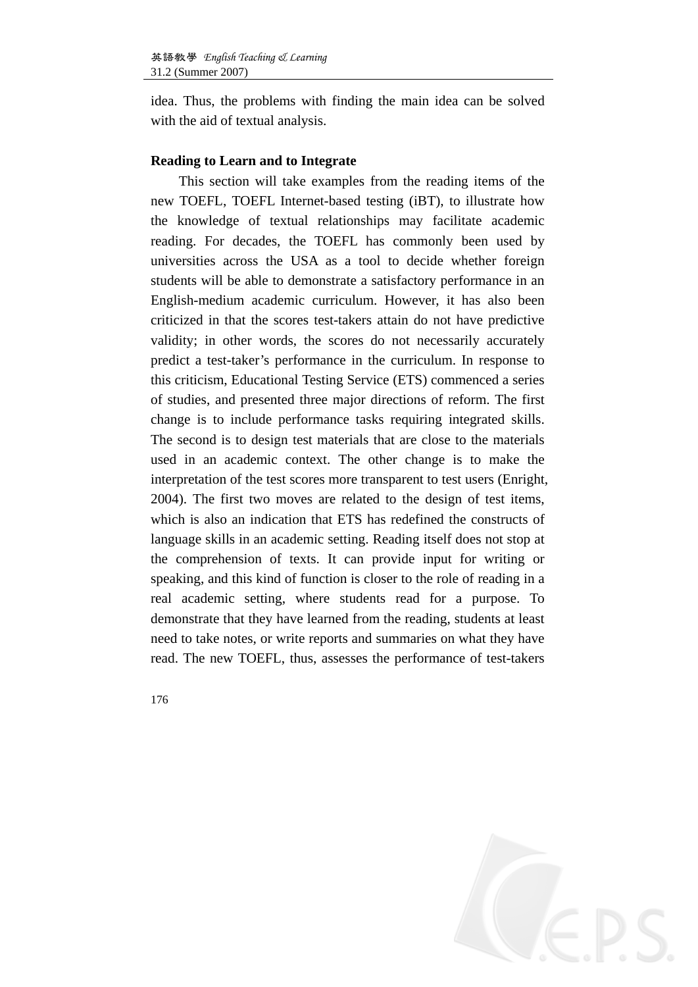idea. Thus, the problems with finding the main idea can be solved with the aid of textual analysis.

#### **Reading to Learn and to Integrate**

This section will take examples from the reading items of the new TOEFL, TOEFL Internet-based testing (iBT), to illustrate how the knowledge of textual relationships may facilitate academic reading. For decades, the TOEFL has commonly been used by universities across the USA as a tool to decide whether foreign students will be able to demonstrate a satisfactory performance in an English-medium academic curriculum. However, it has also been criticized in that the scores test-takers attain do not have predictive validity; in other words, the scores do not necessarily accurately predict a test-taker's performance in the curriculum. In response to this criticism, Educational Testing Service (ETS) commenced a series of studies, and presented three major directions of reform. The first change is to include performance tasks requiring integrated skills. The second is to design test materials that are close to the materials used in an academic context. The other change is to make the interpretation of the test scores more transparent to test users (Enright, 2004). The first two moves are related to the design of test items, which is also an indication that ETS has redefined the constructs of language skills in an academic setting. Reading itself does not stop at the comprehension of texts. It can provide input for writing or speaking, and this kind of function is closer to the role of reading in a real academic setting, where students read for a purpose. To demonstrate that they have learned from the reading, students at least need to take notes, or write reports and summaries on what they have read. The new TOEFL, thus, assesses the performance of test-takers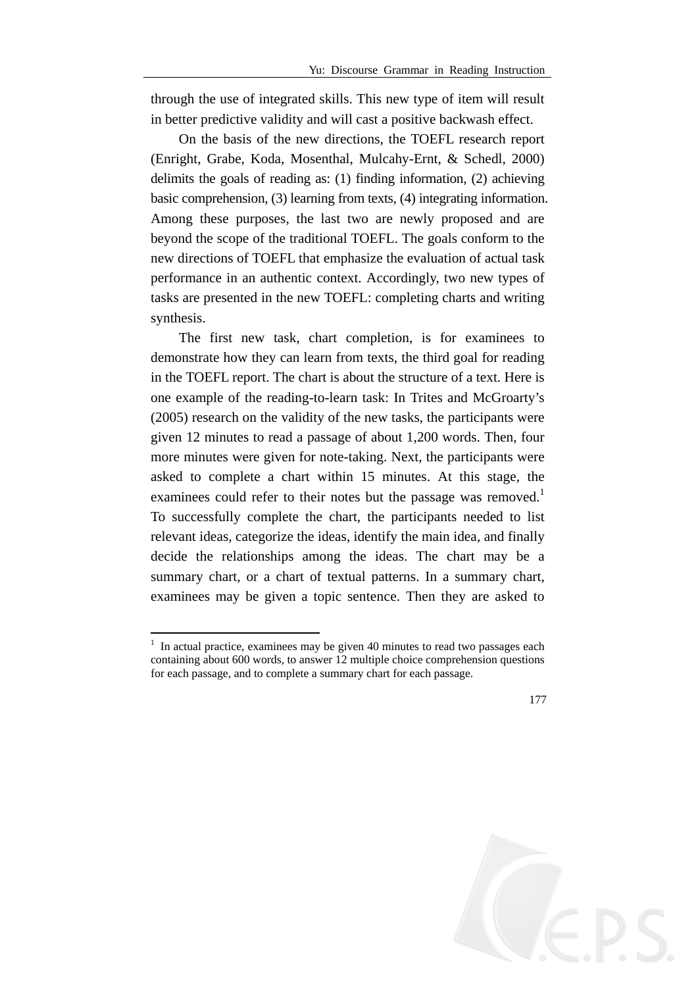through the use of integrated skills. This new type of item will result in better predictive validity and will cast a positive backwash effect.

On the basis of the new directions, the TOEFL research report (Enright, Grabe, Koda, Mosenthal, Mulcahy-Ernt, & Schedl, 2000) delimits the goals of reading as: (1) finding information, (2) achieving basic comprehension, (3) learning from texts, (4) integrating information. Among these purposes, the last two are newly proposed and are beyond the scope of the traditional TOEFL. The goals conform to the new directions of TOEFL that emphasize the evaluation of actual task performance in an authentic context. Accordingly, two new types of tasks are presented in the new TOEFL: completing charts and writing synthesis.

The first new task, chart completion, is for examinees to demonstrate how they can learn from texts, the third goal for reading in the TOEFL report. The chart is about the structure of a text. Here is one example of the reading-to-learn task: In Trites and McGroarty's (2005) research on the validity of the new tasks, the participants were given 12 minutes to read a passage of about 1,200 words. Then, four more minutes were given for note-taking. Next, the participants were asked to complete a chart within 15 minutes. At this stage, the examinees could refer to their notes but the passage was removed.<sup>1</sup> To successfully complete the chart, the participants needed to list relevant ideas, categorize the ideas, identify the main idea, and finally decide the relationships among the ideas. The chart may be a summary chart, or a chart of textual patterns. In a summary chart, examinees may be given a topic sentence. Then they are asked to

1

 $<sup>1</sup>$  In actual practice, examinees may be given 40 minutes to read two passages each</sup> containing about 600 words, to answer 12 multiple choice comprehension questions for each passage, and to complete a summary chart for each passage.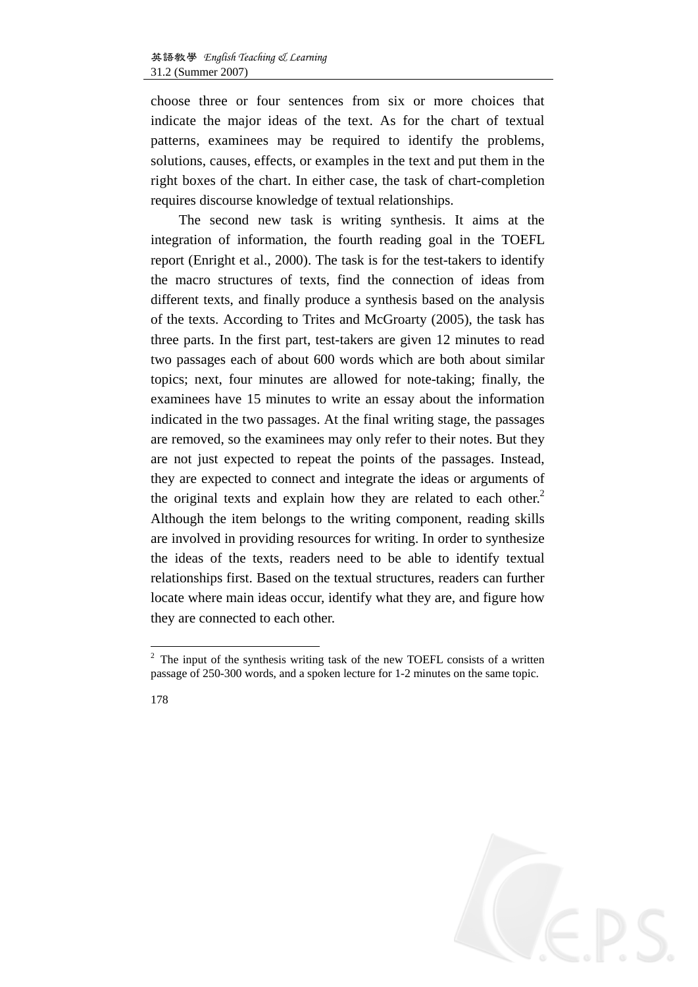choose three or four sentences from six or more choices that indicate the major ideas of the text. As for the chart of textual patterns, examinees may be required to identify the problems, solutions, causes, effects, or examples in the text and put them in the right boxes of the chart. In either case, the task of chart-completion requires discourse knowledge of textual relationships.

The second new task is writing synthesis. It aims at the integration of information, the fourth reading goal in the TOEFL report (Enright et al., 2000). The task is for the test-takers to identify the macro structures of texts, find the connection of ideas from different texts, and finally produce a synthesis based on the analysis of the texts. According to Trites and McGroarty (2005), the task has three parts. In the first part, test-takers are given 12 minutes to read two passages each of about 600 words which are both about similar topics; next, four minutes are allowed for note-taking; finally, the examinees have 15 minutes to write an essay about the information indicated in the two passages. At the final writing stage, the passages are removed, so the examinees may only refer to their notes. But they are not just expected to repeat the points of the passages. Instead, they are expected to connect and integrate the ideas or arguments of the original texts and explain how they are related to each other.<sup>2</sup> Although the item belongs to the writing component, reading skills are involved in providing resources for writing. In order to synthesize the ideas of the texts, readers need to be able to identify textual relationships first. Based on the textual structures, readers can further locate where main ideas occur, identify what they are, and figure how they are connected to each other.

1

 $2^2$  The input of the synthesis writing task of the new TOEFL consists of a written passage of 250-300 words, and a spoken lecture for 1-2 minutes on the same topic.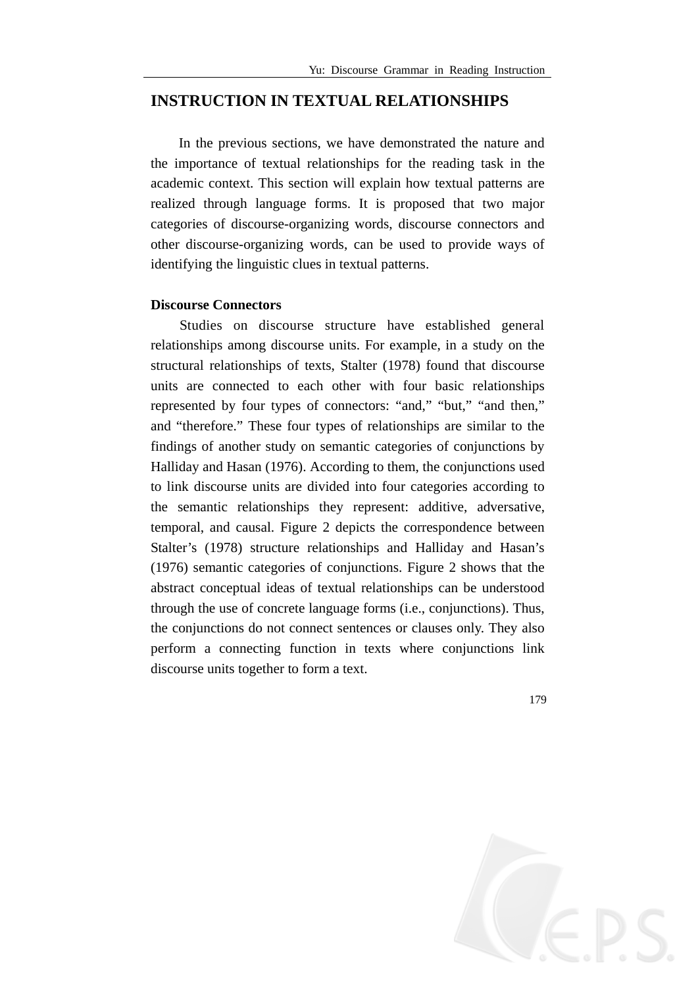### **INSTRUCTION IN TEXTUAL RELATIONSHIPS**

In the previous sections, we have demonstrated the nature and the importance of textual relationships for the reading task in the academic context. This section will explain how textual patterns are realized through language forms. It is proposed that two major categories of discourse-organizing words, discourse connectors and other discourse-organizing words, can be used to provide ways of identifying the linguistic clues in textual patterns.

#### **Discourse Connectors**

Studies on discourse structure have established general relationships among discourse units. For example, in a study on the structural relationships of texts, Stalter (1978) found that discourse units are connected to each other with four basic relationships represented by four types of connectors: "and," "but," "and then," and "therefore." These four types of relationships are similar to the findings of another study on semantic categories of conjunctions by Halliday and Hasan (1976). According to them, the conjunctions used to link discourse units are divided into four categories according to the semantic relationships they represent: additive, adversative, temporal, and causal. Figure 2 depicts the correspondence between Stalter's (1978) structure relationships and Halliday and Hasan's (1976) semantic categories of conjunctions. Figure 2 shows that the abstract conceptual ideas of textual relationships can be understood through the use of concrete language forms (i.e., conjunctions). Thus, the conjunctions do not connect sentences or clauses only. They also perform a connecting function in texts where conjunctions link discourse units together to form a text.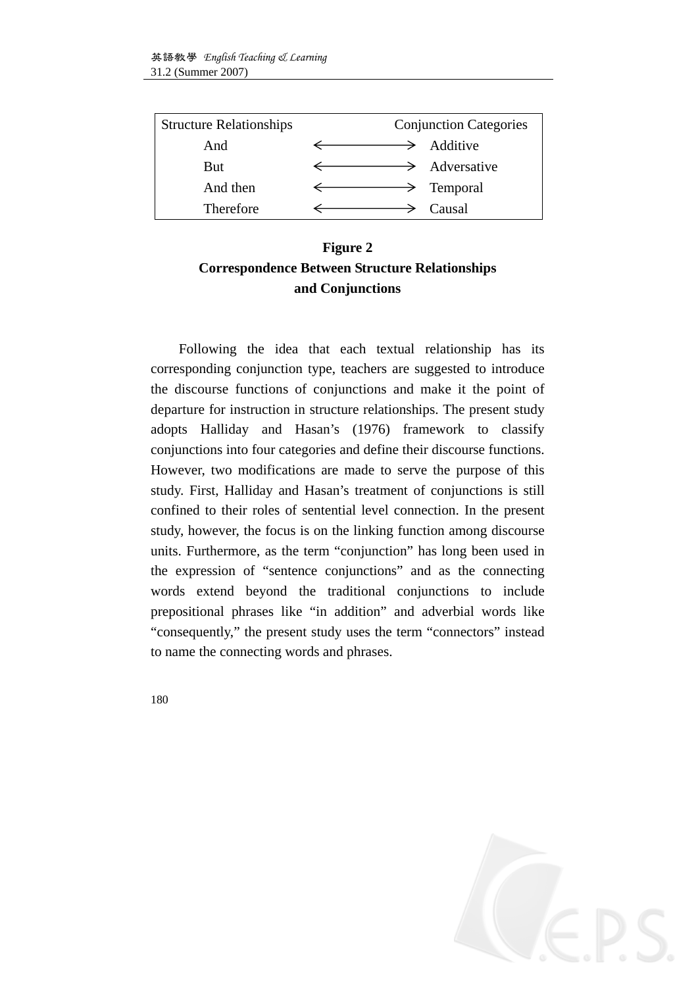| <b>Structure Relationships</b> | <b>Conjunction Categories</b> |
|--------------------------------|-------------------------------|
| And                            | Additive<br>⇁                 |
| <b>But</b>                     | $\rightarrow$ Adversative     |
| And then                       | $\rightarrow$ Temporal        |
| Therefore                      | Causal                        |

## **Figure 2 Correspondence Between Structure Relationships and Conjunctions**

Following the idea that each textual relationship has its corresponding conjunction type, teachers are suggested to introduce the discourse functions of conjunctions and make it the point of departure for instruction in structure relationships. The present study adopts Halliday and Hasan's (1976) framework to classify conjunctions into four categories and define their discourse functions. However, two modifications are made to serve the purpose of this study. First, Halliday and Hasan's treatment of conjunctions is still confined to their roles of sentential level connection. In the present study, however, the focus is on the linking function among discourse units. Furthermore, as the term "conjunction" has long been used in the expression of "sentence conjunctions" and as the connecting words extend beyond the traditional conjunctions to include prepositional phrases like "in addition" and adverbial words like "consequently," the present study uses the term "connectors" instead to name the connecting words and phrases.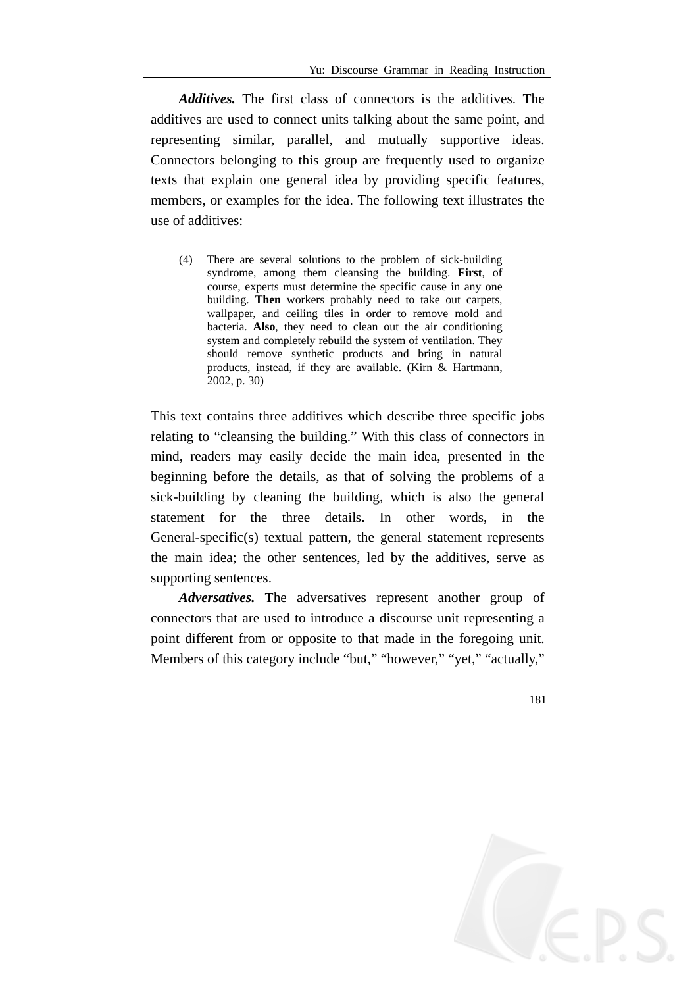*Additives.* The first class of connectors is the additives. The additives are used to connect units talking about the same point, and representing similar, parallel, and mutually supportive ideas. Connectors belonging to this group are frequently used to organize texts that explain one general idea by providing specific features, members, or examples for the idea. The following text illustrates the use of additives:

(4) There are several solutions to the problem of sick-building syndrome, among them cleansing the building. **First**, of course, experts must determine the specific cause in any one building. **Then** workers probably need to take out carpets, wallpaper, and ceiling tiles in order to remove mold and bacteria. **Also**, they need to clean out the air conditioning system and completely rebuild the system of ventilation. They should remove synthetic products and bring in natural products, instead, if they are available. (Kirn & Hartmann, 2002, p. 30)

This text contains three additives which describe three specific jobs relating to "cleansing the building." With this class of connectors in mind, readers may easily decide the main idea, presented in the beginning before the details, as that of solving the problems of a sick-building by cleaning the building, which is also the general statement for the three details. In other words, in the General-specific(s) textual pattern, the general statement represents the main idea; the other sentences, led by the additives, serve as supporting sentences.

*Adversatives.* The adversatives represent another group of connectors that are used to introduce a discourse unit representing a point different from or opposite to that made in the foregoing unit. Members of this category include "but," "however," "yet," "actually,"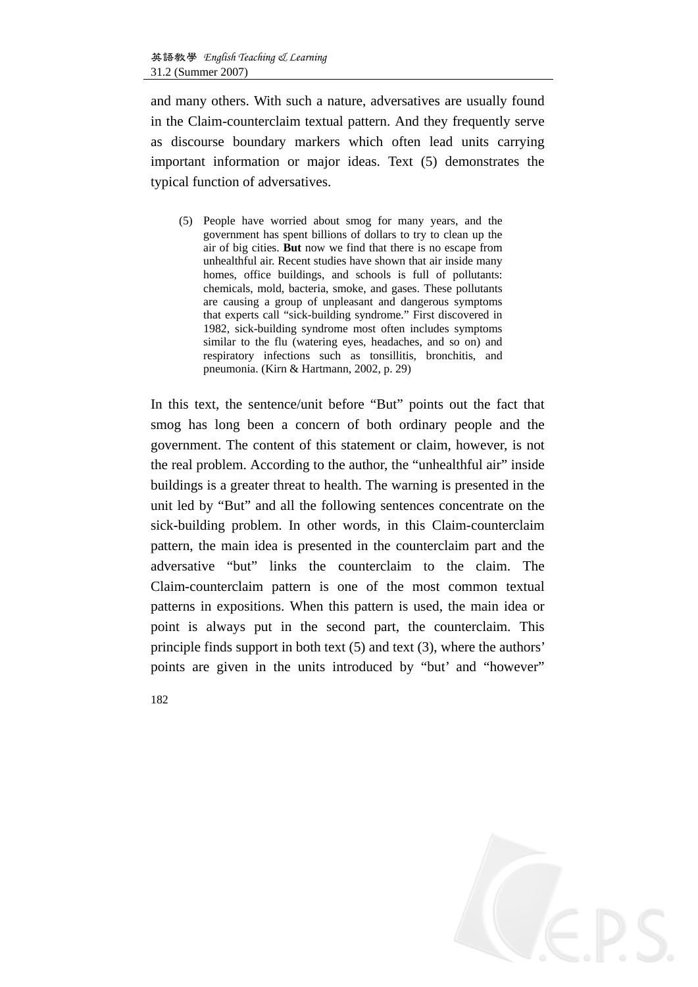and many others. With such a nature, adversatives are usually found in the Claim-counterclaim textual pattern. And they frequently serve as discourse boundary markers which often lead units carrying important information or major ideas. Text (5) demonstrates the typical function of adversatives.

(5) People have worried about smog for many years, and the government has spent billions of dollars to try to clean up the air of big cities. **But** now we find that there is no escape from unhealthful air. Recent studies have shown that air inside many homes, office buildings, and schools is full of pollutants: chemicals, mold, bacteria, smoke, and gases. These pollutants are causing a group of unpleasant and dangerous symptoms that experts call "sick-building syndrome." First discovered in 1982, sick-building syndrome most often includes symptoms similar to the flu (watering eyes, headaches, and so on) and respiratory infections such as tonsillitis, bronchitis, and pneumonia. (Kirn & Hartmann, 2002, p. 29)

In this text, the sentence/unit before "But" points out the fact that smog has long been a concern of both ordinary people and the government. The content of this statement or claim, however, is not the real problem. According to the author, the "unhealthful air" inside buildings is a greater threat to health. The warning is presented in the unit led by "But" and all the following sentences concentrate on the sick-building problem. In other words, in this Claim-counterclaim pattern, the main idea is presented in the counterclaim part and the adversative "but" links the counterclaim to the claim. The Claim-counterclaim pattern is one of the most common textual patterns in expositions. When this pattern is used, the main idea or point is always put in the second part, the counterclaim. This principle finds support in both text (5) and text (3), where the authors' points are given in the units introduced by "but' and "however"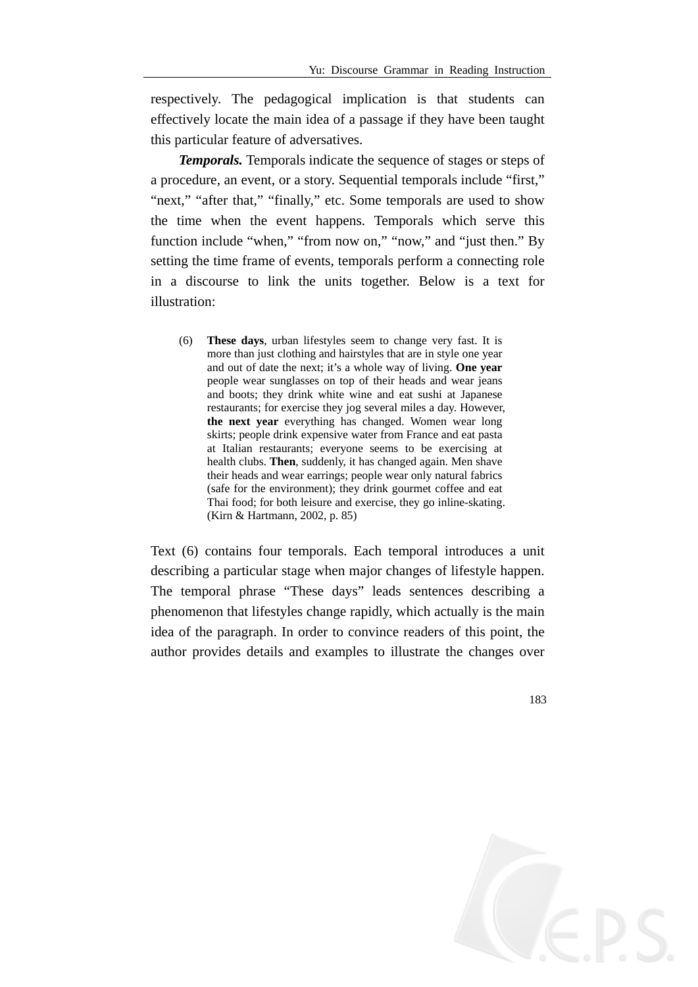respectively. The pedagogical implication is that students can effectively locate the main idea of a passage if they have been taught this particular feature of adversatives.

*Temporals.* Temporals indicate the sequence of stages or steps of a procedure, an event, or a story. Sequential temporals include "first," "next," "after that," "finally," etc. Some temporals are used to show the time when the event happens. Temporals which serve this function include "when," "from now on," "now," and "just then." By setting the time frame of events, temporals perform a connecting role in a discourse to link the units together. Below is a text for illustration:

(6) **These days**, urban lifestyles seem to change very fast. It is more than just clothing and hairstyles that are in style one year and out of date the next; it's a whole way of living. **One year** people wear sunglasses on top of their heads and wear jeans and boots; they drink white wine and eat sushi at Japanese restaurants; for exercise they jog several miles a day. However, **the next year** everything has changed. Women wear long skirts; people drink expensive water from France and eat pasta at Italian restaurants; everyone seems to be exercising at health clubs. **Then**, suddenly, it has changed again. Men shave their heads and wear earrings; people wear only natural fabrics (safe for the environment); they drink gourmet coffee and eat Thai food; for both leisure and exercise, they go inline-skating. (Kirn & Hartmann, 2002, p. 85)

Text (6) contains four temporals. Each temporal introduces a unit describing a particular stage when major changes of lifestyle happen. The temporal phrase "These days" leads sentences describing a phenomenon that lifestyles change rapidly, which actually is the main idea of the paragraph. In order to convince readers of this point, the author provides details and examples to illustrate the changes over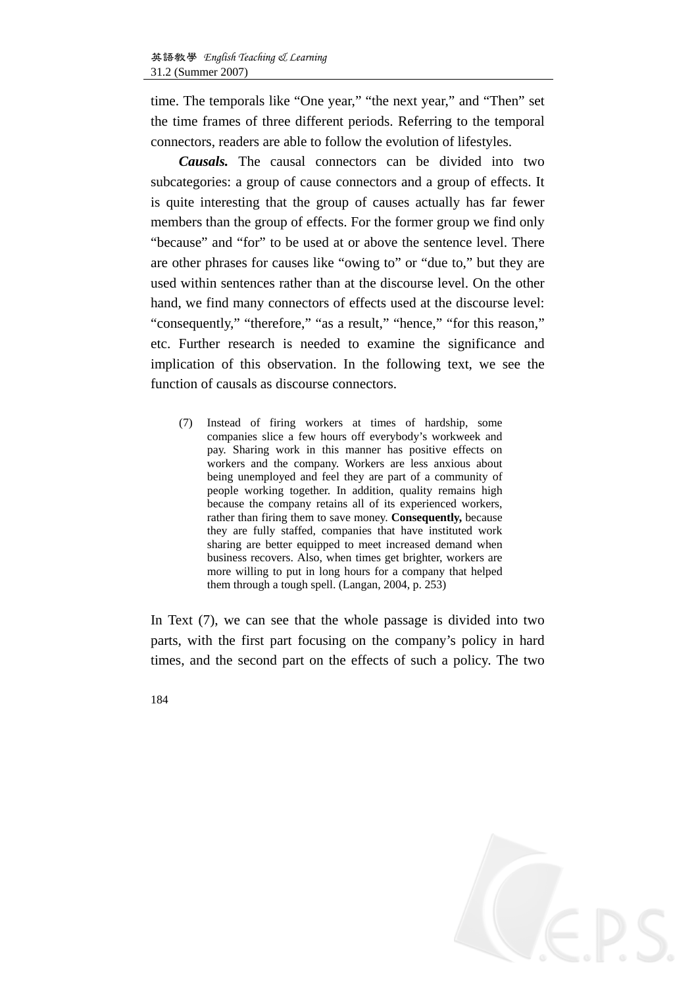time. The temporals like "One year," "the next year," and "Then" set the time frames of three different periods. Referring to the temporal connectors, readers are able to follow the evolution of lifestyles.

*Causals.* The causal connectors can be divided into two subcategories: a group of cause connectors and a group of effects. It is quite interesting that the group of causes actually has far fewer members than the group of effects. For the former group we find only "because" and "for" to be used at or above the sentence level. There are other phrases for causes like "owing to" or "due to," but they are used within sentences rather than at the discourse level. On the other hand, we find many connectors of effects used at the discourse level: "consequently," "therefore," "as a result," "hence," "for this reason," etc. Further research is needed to examine the significance and implication of this observation. In the following text, we see the function of causals as discourse connectors.

(7) Instead of firing workers at times of hardship, some companies slice a few hours off everybody's workweek and pay. Sharing work in this manner has positive effects on workers and the company. Workers are less anxious about being unemployed and feel they are part of a community of people working together. In addition, quality remains high because the company retains all of its experienced workers, rather than firing them to save money. **Consequently,** because they are fully staffed, companies that have instituted work sharing are better equipped to meet increased demand when business recovers. Also, when times get brighter, workers are more willing to put in long hours for a company that helped them through a tough spell. (Langan, 2004, p. 253)

In Text (7), we can see that the whole passage is divided into two parts, with the first part focusing on the company's policy in hard times, and the second part on the effects of such a policy. The two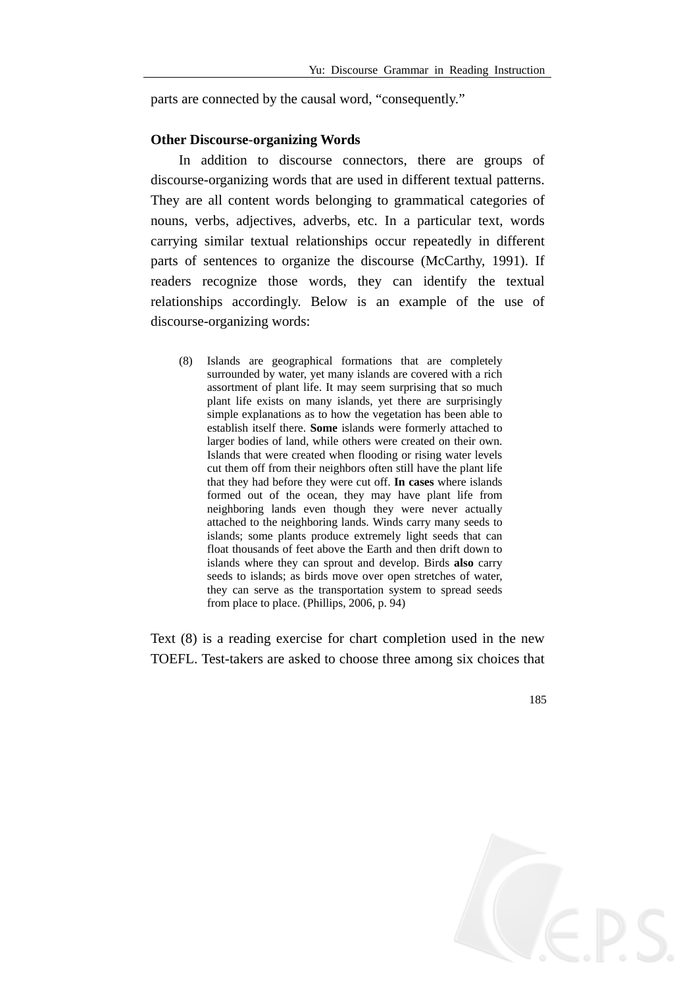parts are connected by the causal word, "consequently."

#### **Other Discourse**-**organizing Words**

In addition to discourse connectors, there are groups of discourse-organizing words that are used in different textual patterns. They are all content words belonging to grammatical categories of nouns, verbs, adjectives, adverbs, etc. In a particular text, words carrying similar textual relationships occur repeatedly in different parts of sentences to organize the discourse (McCarthy, 1991). If readers recognize those words, they can identify the textual relationships accordingly. Below is an example of the use of discourse-organizing words:

(8) Islands are geographical formations that are completely surrounded by water, yet many islands are covered with a rich assortment of plant life. It may seem surprising that so much plant life exists on many islands, yet there are surprisingly simple explanations as to how the vegetation has been able to establish itself there. **Some** islands were formerly attached to larger bodies of land, while others were created on their own. Islands that were created when flooding or rising water levels cut them off from their neighbors often still have the plant life that they had before they were cut off. **In cases** where islands formed out of the ocean, they may have plant life from neighboring lands even though they were never actually attached to the neighboring lands. Winds carry many seeds to islands; some plants produce extremely light seeds that can float thousands of feet above the Earth and then drift down to islands where they can sprout and develop. Birds **also** carry seeds to islands; as birds move over open stretches of water, they can serve as the transportation system to spread seeds from place to place. (Phillips, 2006, p. 94)

Text (8) is a reading exercise for chart completion used in the new TOEFL. Test-takers are asked to choose three among six choices that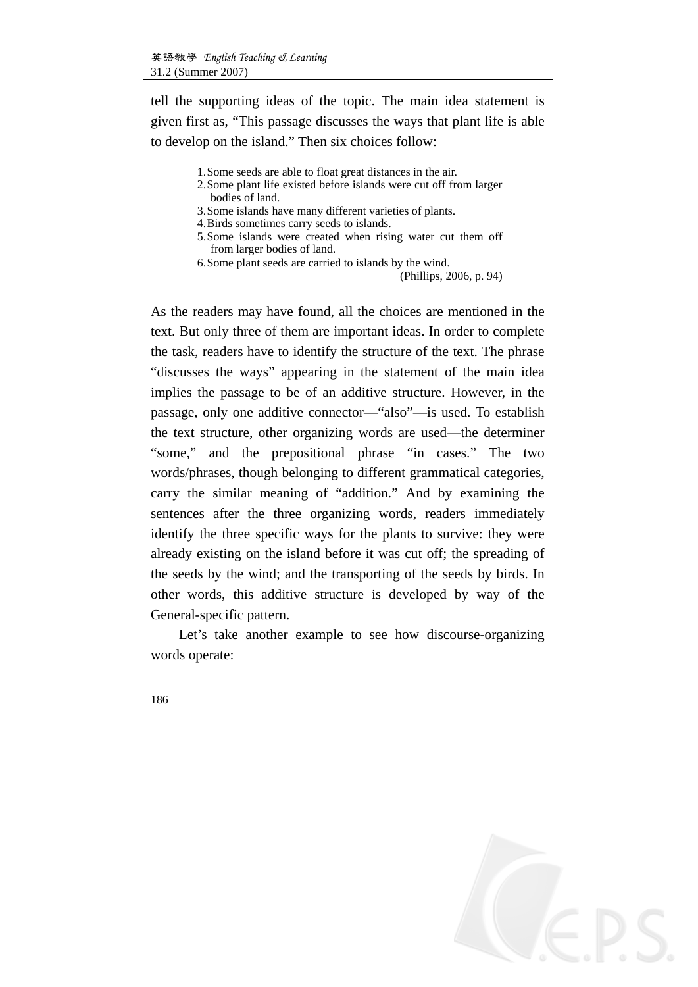tell the supporting ideas of the topic. The main idea statement is given first as, "This passage discusses the ways that plant life is able to develop on the island." Then six choices follow:

- 1.Some seeds are able to float great distances in the air.
- 2.Some plant life existed before islands were cut off from larger bodies of land.
- 3.Some islands have many different varieties of plants.
- 4.Birds sometimes carry seeds to islands.
- 5.Some islands were created when rising water cut them off from larger bodies of land.
- 6.Some plant seeds are carried to islands by the wind.

(Phillips, 2006, p. 94)

As the readers may have found, all the choices are mentioned in the text. But only three of them are important ideas. In order to complete the task, readers have to identify the structure of the text. The phrase "discusses the ways" appearing in the statement of the main idea implies the passage to be of an additive structure. However, in the passage, only one additive connector—"also"—is used. To establish the text structure, other organizing words are used—the determiner "some," and the prepositional phrase "in cases." The two words/phrases, though belonging to different grammatical categories, carry the similar meaning of "addition." And by examining the sentences after the three organizing words, readers immediately identify the three specific ways for the plants to survive: they were already existing on the island before it was cut off; the spreading of the seeds by the wind; and the transporting of the seeds by birds. In other words, this additive structure is developed by way of the General-specific pattern.

Let's take another example to see how discourse-organizing words operate: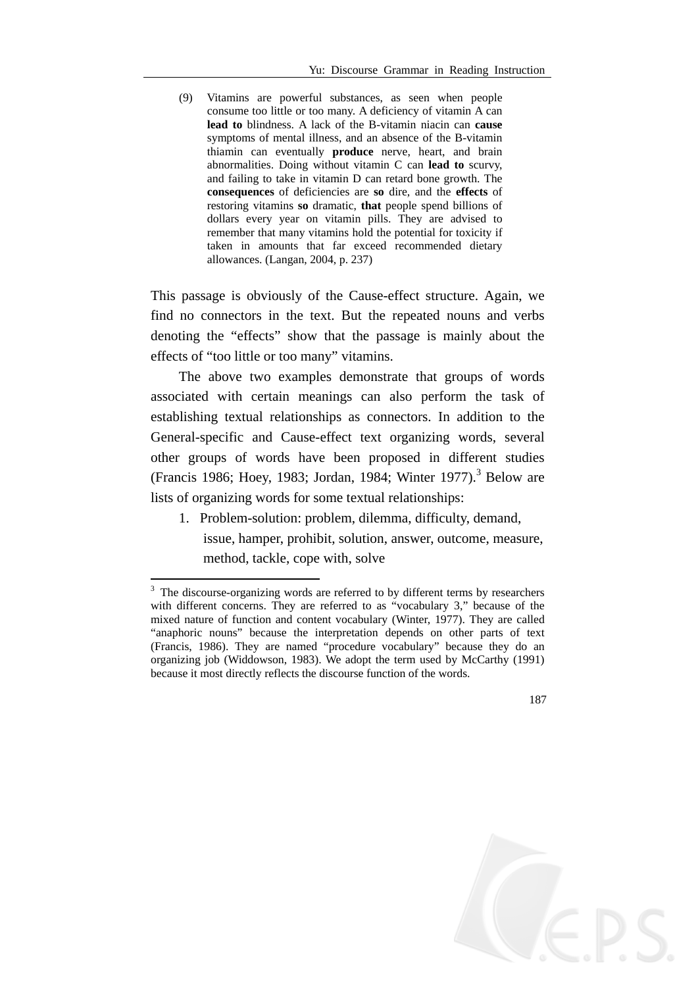(9) Vitamins are powerful substances, as seen when people consume too little or too many. A deficiency of vitamin A can **lead to** blindness. A lack of the B-vitamin niacin can **cause** symptoms of mental illness, and an absence of the B-vitamin thiamin can eventually **produce** nerve, heart, and brain abnormalities. Doing without vitamin C can **lead to** scurvy, and failing to take in vitamin D can retard bone growth. The **consequences** of deficiencies are **so** dire, and the **effects** of restoring vitamins **so** dramatic, **that** people spend billions of dollars every year on vitamin pills. They are advised to remember that many vitamins hold the potential for toxicity if taken in amounts that far exceed recommended dietary allowances. (Langan, 2004, p. 237)

This passage is obviously of the Cause-effect structure. Again, we find no connectors in the text. But the repeated nouns and verbs denoting the "effects" show that the passage is mainly about the effects of "too little or too many" vitamins.

The above two examples demonstrate that groups of words associated with certain meanings can also perform the task of establishing textual relationships as connectors. In addition to the General-specific and Cause-effect text organizing words, several other groups of words have been proposed in different studies (Francis 1986; Hoey, 1983; Jordan, 1984; Winter 1977).<sup>3</sup> Below are lists of organizing words for some textual relationships:

1. Problem-solution: problem, dilemma, difficulty, demand, issue, hamper, prohibit, solution, answer, outcome, measure, method, tackle, cope with, solve

1

<sup>&</sup>lt;sup>3</sup> The discourse-organizing words are referred to by different terms by researchers with different concerns. They are referred to as "vocabulary 3," because of the mixed nature of function and content vocabulary (Winter, 1977). They are called "anaphoric nouns" because the interpretation depends on other parts of text (Francis, 1986). They are named "procedure vocabulary" because they do an organizing job (Widdowson, 1983). We adopt the term used by McCarthy (1991) because it most directly reflects the discourse function of the words.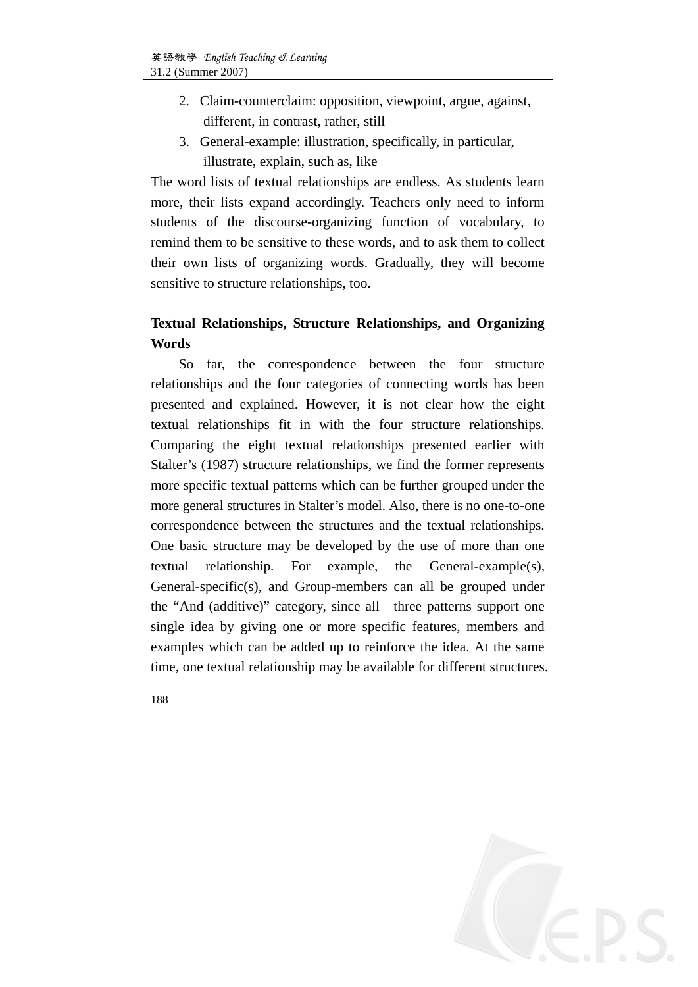- 2. Claim-counterclaim: opposition, viewpoint, argue, against, different, in contrast, rather, still
- 3. General-example: illustration, specifically, in particular, illustrate, explain, such as, like

The word lists of textual relationships are endless. As students learn more, their lists expand accordingly. Teachers only need to inform students of the discourse-organizing function of vocabulary, to remind them to be sensitive to these words, and to ask them to collect their own lists of organizing words. Gradually, they will become sensitive to structure relationships, too.

### **Textual Relationships, Structure Relationships, and Organizing Words**

So far, the correspondence between the four structure relationships and the four categories of connecting words has been presented and explained. However, it is not clear how the eight textual relationships fit in with the four structure relationships. Comparing the eight textual relationships presented earlier with Stalter's (1987) structure relationships, we find the former represents more specific textual patterns which can be further grouped under the more general structures in Stalter's model. Also, there is no one-to-one correspondence between the structures and the textual relationships. One basic structure may be developed by the use of more than one textual relationship. For example, the General-example(s), General-specific(s), and Group-members can all be grouped under the "And (additive)" category, since all three patterns support one single idea by giving one or more specific features, members and examples which can be added up to reinforce the idea. At the same time, one textual relationship may be available for different structures.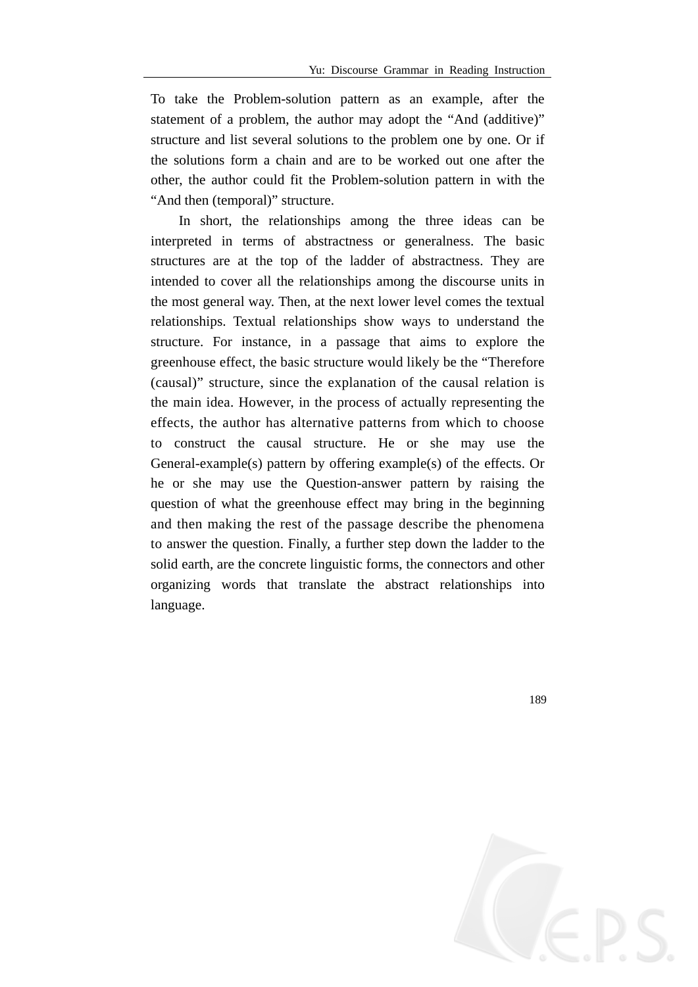To take the Problem-solution pattern as an example, after the statement of a problem, the author may adopt the "And (additive)" structure and list several solutions to the problem one by one. Or if the solutions form a chain and are to be worked out one after the other, the author could fit the Problem-solution pattern in with the "And then (temporal)" structure.

In short, the relationships among the three ideas can be interpreted in terms of abstractness or generalness. The basic structures are at the top of the ladder of abstractness. They are intended to cover all the relationships among the discourse units in the most general way. Then, at the next lower level comes the textual relationships. Textual relationships show ways to understand the structure. For instance, in a passage that aims to explore the greenhouse effect, the basic structure would likely be the "Therefore (causal)" structure, since the explanation of the causal relation is the main idea. However, in the process of actually representing the effects, the author has alternative patterns from which to choose to construct the causal structure. He or she may use the General-example(s) pattern by offering example(s) of the effects. Or he or she may use the Question-answer pattern by raising the question of what the greenhouse effect may bring in the beginning and then making the rest of the passage describe the phenomena to answer the question. Finally, a further step down the ladder to the solid earth, are the concrete linguistic forms, the connectors and other organizing words that translate the abstract relationships into language.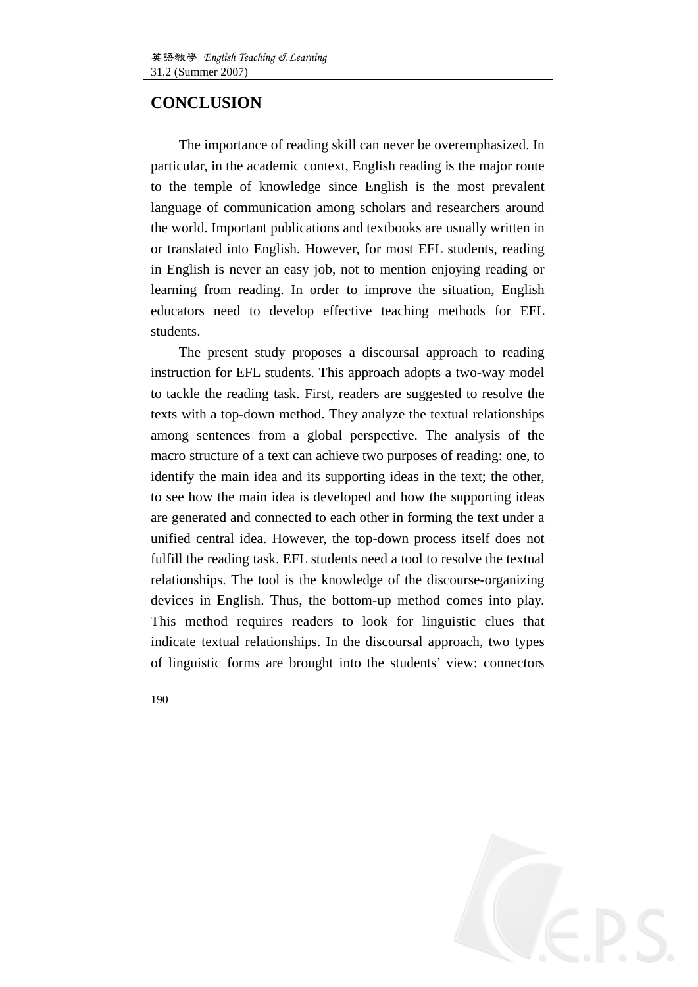## **CONCLUSION**

The importance of reading skill can never be overemphasized. In particular, in the academic context, English reading is the major route to the temple of knowledge since English is the most prevalent language of communication among scholars and researchers around the world. Important publications and textbooks are usually written in or translated into English. However, for most EFL students, reading in English is never an easy job, not to mention enjoying reading or learning from reading. In order to improve the situation, English educators need to develop effective teaching methods for EFL students.

The present study proposes a discoursal approach to reading instruction for EFL students. This approach adopts a two-way model to tackle the reading task. First, readers are suggested to resolve the texts with a top-down method. They analyze the textual relationships among sentences from a global perspective. The analysis of the macro structure of a text can achieve two purposes of reading: one, to identify the main idea and its supporting ideas in the text; the other, to see how the main idea is developed and how the supporting ideas are generated and connected to each other in forming the text under a unified central idea. However, the top-down process itself does not fulfill the reading task. EFL students need a tool to resolve the textual relationships. The tool is the knowledge of the discourse-organizing devices in English. Thus, the bottom-up method comes into play. This method requires readers to look for linguistic clues that indicate textual relationships. In the discoursal approach, two types of linguistic forms are brought into the students' view: connectors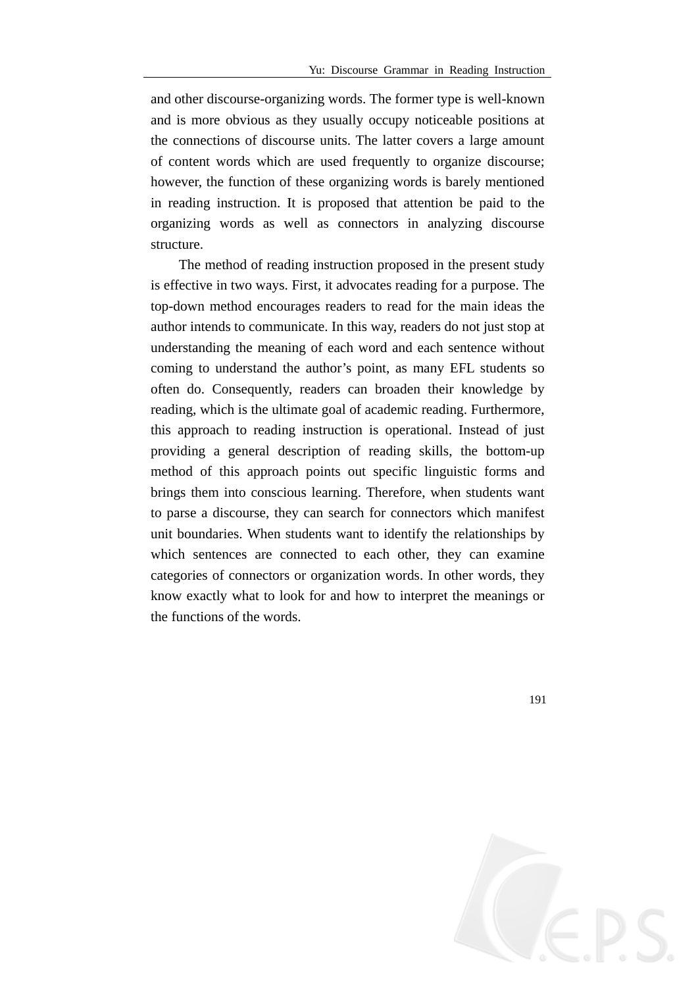and other discourse-organizing words. The former type is well-known and is more obvious as they usually occupy noticeable positions at the connections of discourse units. The latter covers a large amount of content words which are used frequently to organize discourse; however, the function of these organizing words is barely mentioned in reading instruction. It is proposed that attention be paid to the organizing words as well as connectors in analyzing discourse structure.

The method of reading instruction proposed in the present study is effective in two ways. First, it advocates reading for a purpose. The top-down method encourages readers to read for the main ideas the author intends to communicate. In this way, readers do not just stop at understanding the meaning of each word and each sentence without coming to understand the author's point, as many EFL students so often do. Consequently, readers can broaden their knowledge by reading, which is the ultimate goal of academic reading. Furthermore, this approach to reading instruction is operational. Instead of just providing a general description of reading skills, the bottom-up method of this approach points out specific linguistic forms and brings them into conscious learning. Therefore, when students want to parse a discourse, they can search for connectors which manifest unit boundaries. When students want to identify the relationships by which sentences are connected to each other, they can examine categories of connectors or organization words. In other words, they know exactly what to look for and how to interpret the meanings or the functions of the words.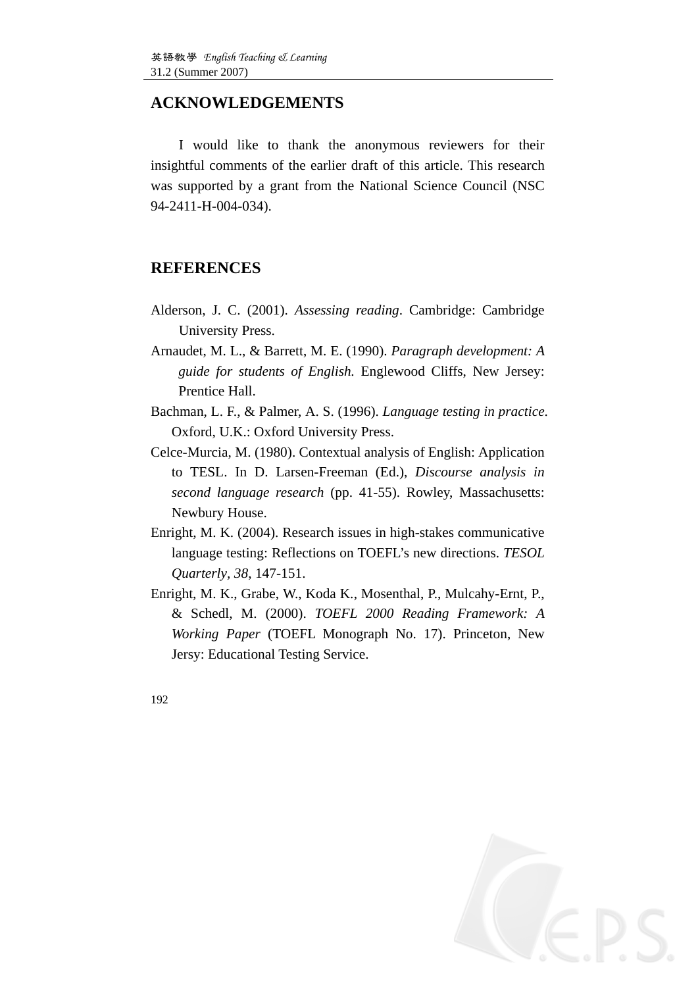### **ACKNOWLEDGEMENTS**

I would like to thank the anonymous reviewers for their insightful comments of the earlier draft of this article. This research was supported by a grant from the National Science Council (NSC 94-2411-H-004-034).

### **REFERENCES**

- Alderson, J. C. (2001). *Assessing reading*. Cambridge: Cambridge University Press.
- Arnaudet, M. L., & Barrett, M. E. (1990). *Paragraph development: A guide for students of English.* Englewood Cliffs, New Jersey: Prentice Hall.
- Bachman, L. F., & Palmer, A. S. (1996). *Language testing in practice*. Oxford, U.K.: Oxford University Press.
- Celce-Murcia, M. (1980). Contextual analysis of English: Application to TESL. In D. Larsen-Freeman (Ed.), *Discourse analysis in second language research* (pp. 41-55). Rowley, Massachusetts: Newbury House.
- Enright, M. K. (2004). Research issues in high-stakes communicative language testing: Reflections on TOEFL's new directions. *TESOL Quarterly, 38*, 147-151.
- Enright, M. K., Grabe, W., Koda K., Mosenthal, P., Mulcahy-Ernt, P., & Schedl, M. (2000). *TOEFL 2000 Reading Framework: A Working Paper* (TOEFL Monograph No. 17). Princeton, New Jersy: Educational Testing Service.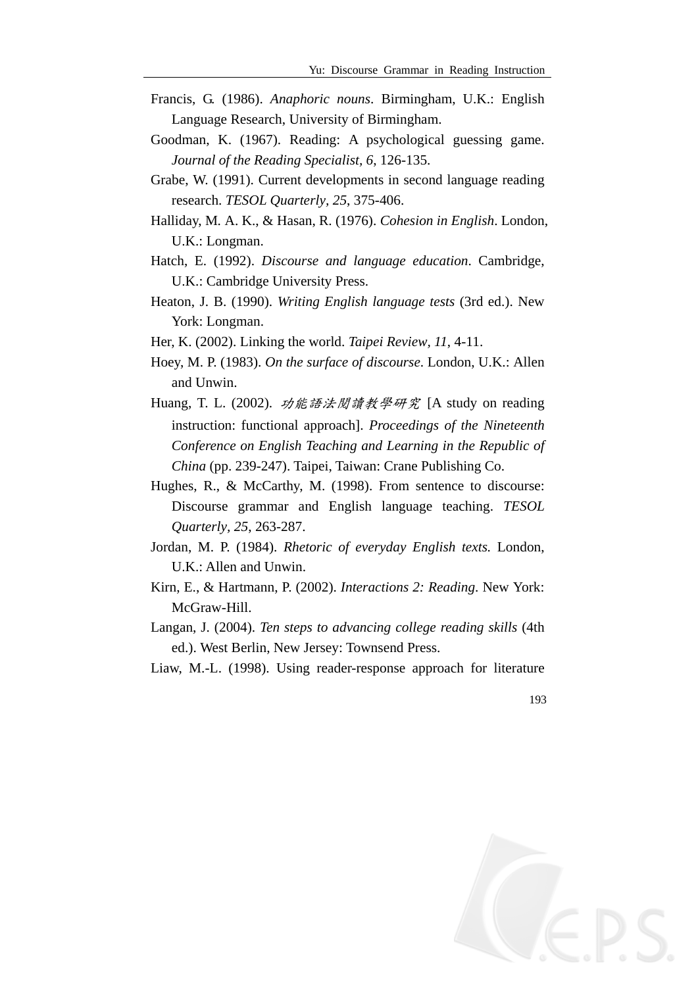- Francis, G. (1986). *Anaphoric nouns*. Birmingham, U.K.: English Language Research, University of Birmingham.
- Goodman, K. (1967). Reading: A psychological guessing game. *Journal of the Reading Specialist, 6*, 126-135.
- Grabe, W. (1991). Current developments in second language reading research. *TESOL Quarterly, 25*, 375-406.
- Halliday, M*.* A. K., & Hasan, R. (1976). *Cohesion in English*. London, U.K.: Longman.
- Hatch, E. (1992). *Discourse and language education*. Cambridge, U.K.: Cambridge University Press.
- Heaton, J. B. (1990). *Writing English language tests* (3rd ed.). New York: Longman.
- Her, K. (2002). Linking the world. *Taipei Review, 11*, 4-11.
- Hoey, M. P. (1983). *On the surface of discourse*. London, U.K.: Allen and Unwin.
- Huang, T. L. (2002). 功能語法閱讀教學研究 [A study on reading instruction: functional approach]. *Proceedings of the Nineteenth Conference on English Teaching and Learning in the Republic of China* (pp. 239-247). Taipei, Taiwan: Crane Publishing Co.
- Hughes, R., & McCarthy, M. (1998). From sentence to discourse: Discourse grammar and English language teaching. *TESOL Quarterly, 25*, 263-287.
- Jordan, M. P. (1984). *Rhetoric of everyday English texts.* London, U.K.: Allen and Unwin.
- Kirn, E., & Hartmann, P. (2002). *Interactions 2: Reading*. New York: McGraw-Hill.
- Langan, J. (2004). *Ten steps to advancing college reading skills* (4th ed.). West Berlin, New Jersey: Townsend Press.
- Liaw, M.-L. (1998). Using reader-response approach for literature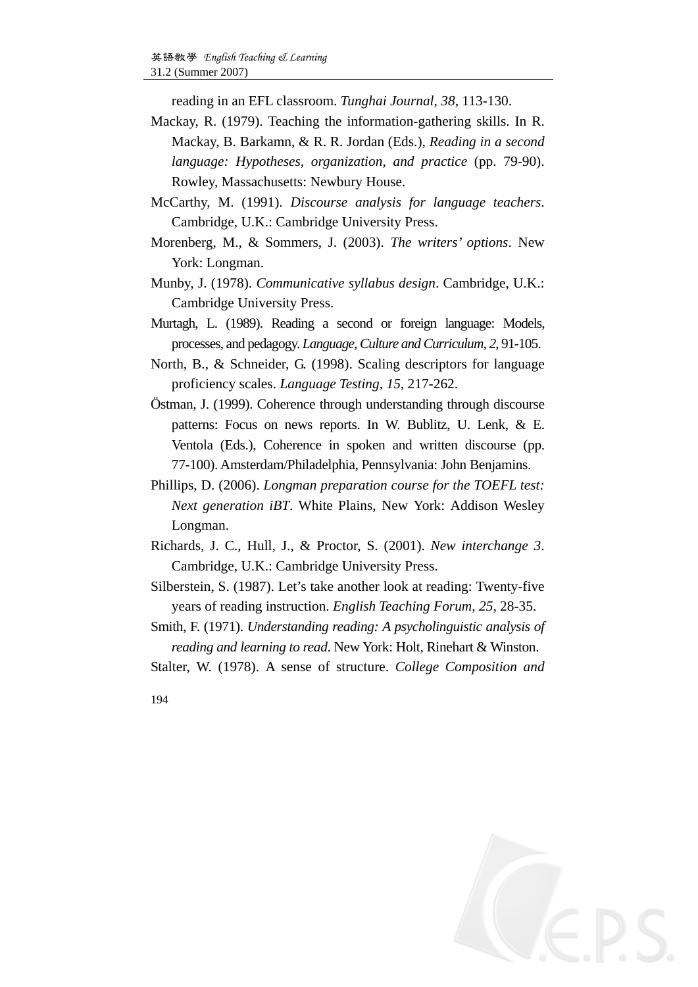reading in an EFL classroom. *Tunghai Journal, 38*, 113-130.

- Mackay, R. (1979). Teaching the information-gathering skills. In R. Mackay, B. Barkamn, & R. R. Jordan (Eds.), *Reading in a second language: Hypotheses, organization, and practice (pp. 79-90).* Rowley, Massachusetts: Newbury House.
- McCarthy, M. (1991). *Discourse analysis for language teachers*. Cambridge, U.K.: Cambridge University Press.
- Morenberg, M., & Sommers, J. (2003). *The writers' options*. New York: Longman.
- Munby, J. (1978). *Communicative syllabus design*. Cambridge, U.K.: Cambridge University Press.
- Murtagh, L. (1989). Reading a second or foreign language: Models, processes, and pedagogy. *Language, Culture and Curriculum, 2*, 91-105.
- North, B., & Schneider, G. (1998). Scaling descriptors for language proficiency scales. *Language Testing, 15*, 217-262.
- Östman, J. (1999). Coherence through understanding through discourse patterns: Focus on news reports. In W. Bublitz, U. Lenk, & E. Ventola (Eds.), Coherence in spoken and written discourse (pp. 77-100). Amsterdam/Philadelphia, Pennsylvania: John Benjamins.
- Phillips, D. (2006). *Longman preparation course for the TOEFL test: Next generation iBT*. White Plains, New York: Addison Wesley Longman.
- Richards, J. C., Hull, J., & Proctor, S. (2001). *New interchange 3*. Cambridge, U.K.: Cambridge University Press.
- Silberstein, S. (1987). Let's take another look at reading: Twenty-five years of reading instruction. *English Teaching Forum, 25*, 28-35.
- Smith, F. (1971). *Understanding reading: A psycholinguistic analysis of reading and learning to read*. New York: Holt, Rinehart & Winston.
- Stalter, W. (1978). A sense of structure. *College Composition and*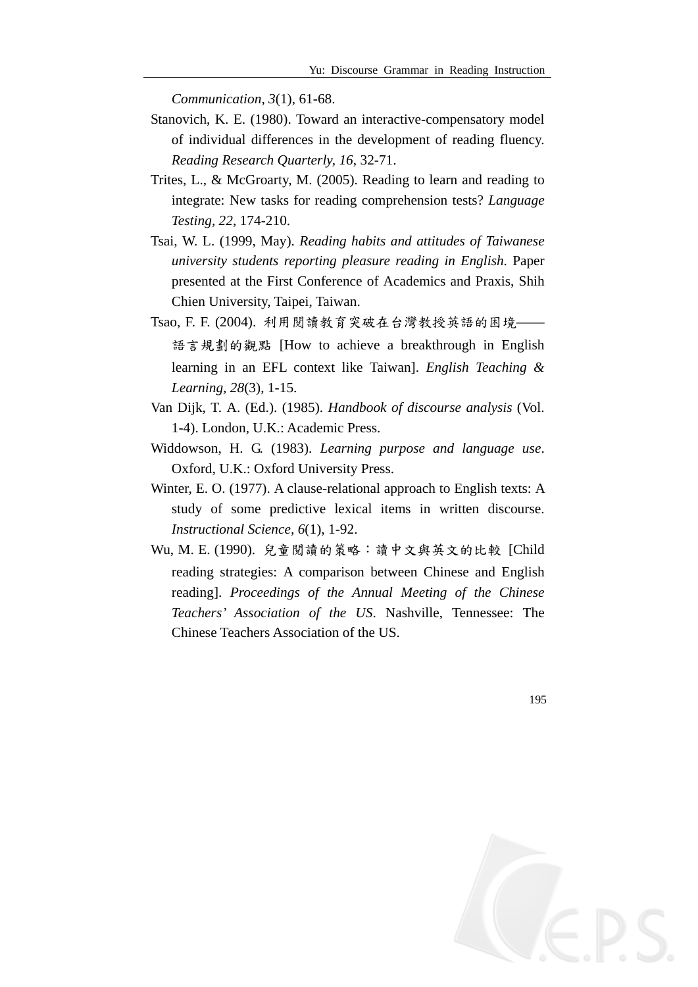*Communication, 3*(1), 61-68.

- Stanovich, K. E. (1980). Toward an interactive-compensatory model of individual differences in the development of reading fluency. *Reading Research Quarterly, 16*, 32-71.
- Trites, L., & McGroarty, M. (2005). Reading to learn and reading to integrate: New tasks for reading comprehension tests? *Language Testing, 22*, 174-210.
- Tsai, W. L. (1999, May). *Reading habits and attitudes of Taiwanese university students reporting pleasure reading in English*. Paper presented at the First Conference of Academics and Praxis, Shih Chien University, Taipei, Taiwan.
- Tsao, F. F. (2004). 利用閱讀教育突破在台灣教授英語的困境—— 語言規劃的觀點 [How to achieve a breakthrough in English learning in an EFL context like Taiwan]. *English Teaching & Learning, 28*(3), 1-15.
- Van Dijk, T. A. (Ed.). (1985). *Handbook of discourse analysis* (Vol. 1-4). London, U.K.: Academic Press.
- Widdowson, H. G. (1983). *Learning purpose and language use*. Oxford, U.K.: Oxford University Press.
- Winter, E. O. (1977). A clause-relational approach to English texts: A study of some predictive lexical items in written discourse. *Instructional Science, 6*(1), 1-92.
- Wu, M. E. (1990). 兒童閱讀的策略:讀中文與英文的比較 [Child reading strategies: A comparison between Chinese and English reading]. *Proceedings of the Annual Meeting of the Chinese Teachers' Association of the US*. Nashville, Tennessee: The Chinese Teachers Association of the US.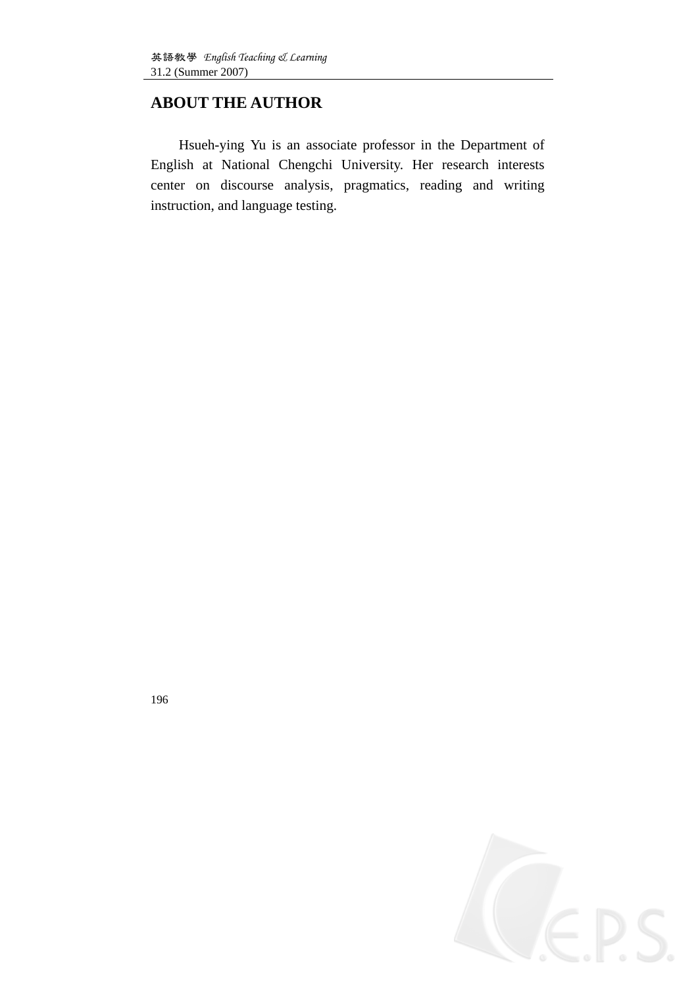## **ABOUT THE AUTHOR**

Hsueh-ying Yu is an associate professor in the Department of English at National Chengchi University. Her research interests center on discourse analysis, pragmatics, reading and writing instruction, and language testing.